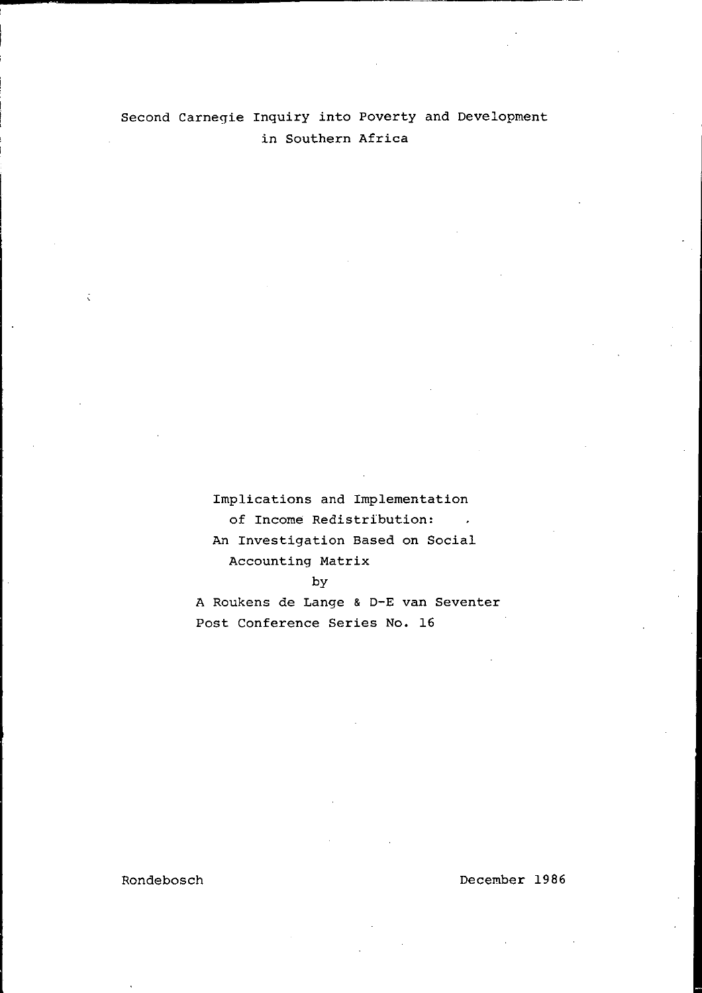# Second Carnegie Inquiry into Poverty and Development in Southern Africa

Implications and Implementation of Income Redistribution:  $\sim$ An Investigation Based on Social Accounting Matrix

by

A Roukens de Lange & D-E van Seventer Post Conference Series No. 16

Rondebosch December 1986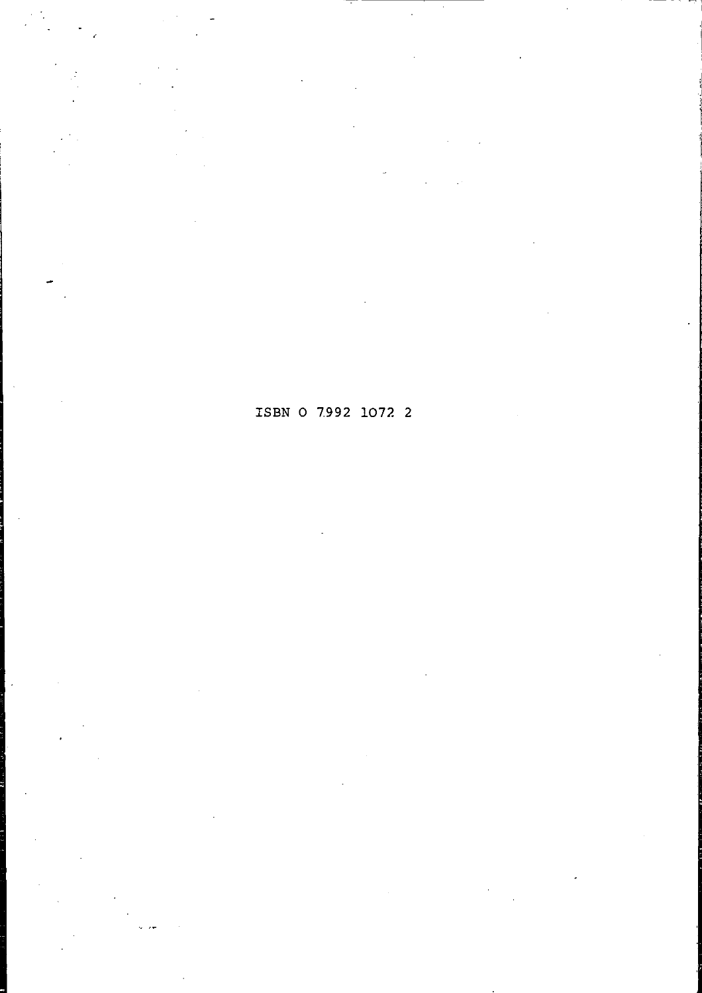ISBN 0 7992 1072 2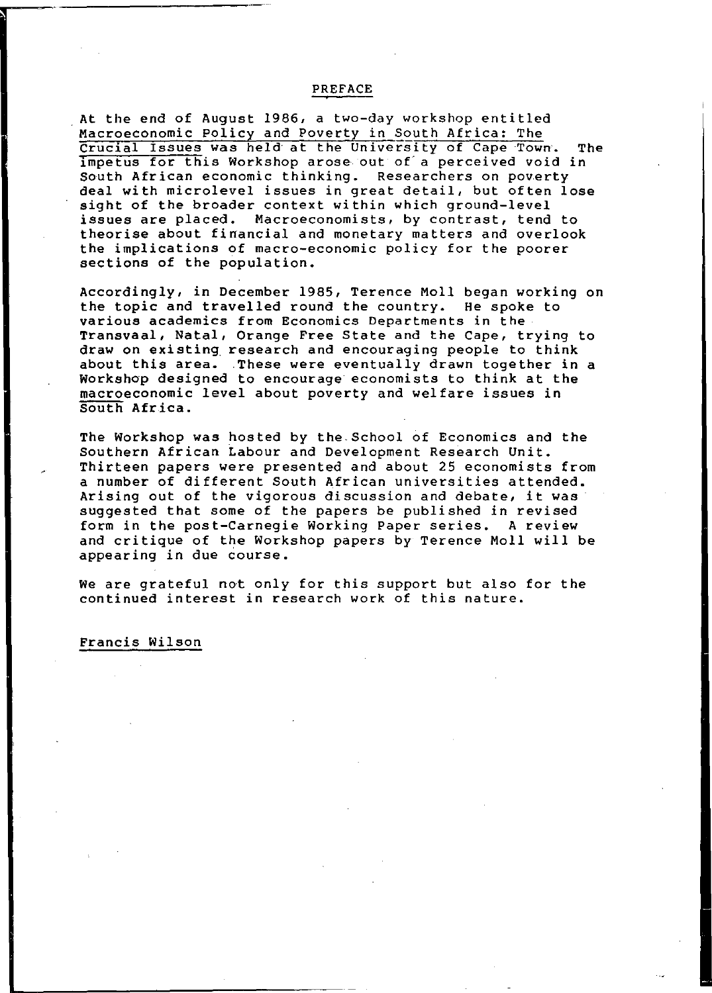## PREFACE

At the end of August 1986, a two-day workshop entitled Macroeconomic policy and Poverty in South Africa: The Crucial Issues was held at the University of Cape Town. The impetus for this Workshop arose out of a perceived void in South African economic thinking. Researchers on poverty deal with microlevel issues in great detail, but often lose sight of the broader context within which ground-level issues are placed. Macroeconomists, by contrast, tend to theorise about financial and monetary matters and overlook the implications of macro-economic policy for the poorer sections of the population.

Accordingly, in December 1985, Terence Moll began working on the topic and travelled round the country. He spoke to various academics from Economics Departments in the Transvaal, Natal, Orange Free State and the Cape, trying to draw on existing research and encouraging people to think about this area. .These were eventually drawn together in a Workshop designed to encourage economists to think at the macroeconomic level about poverty and welfare issues in South Africa.

The Workshop was hosted by the School of Economics and the Southern African Labour and Development Research Unit. Thirteen papers were presented and about 25 economists from a number of different South African universities attended. Arising out of the vigorous discussion and debate, it was suggested that some of the papers be published in revised form in the post-Carnegie Working Paper series. A review and critique of the Workshop papers by Terence Moll will be appearing in due course.

We are grateful not only for this support but also for the continued interest in research work of this nature.

### Francis Wilson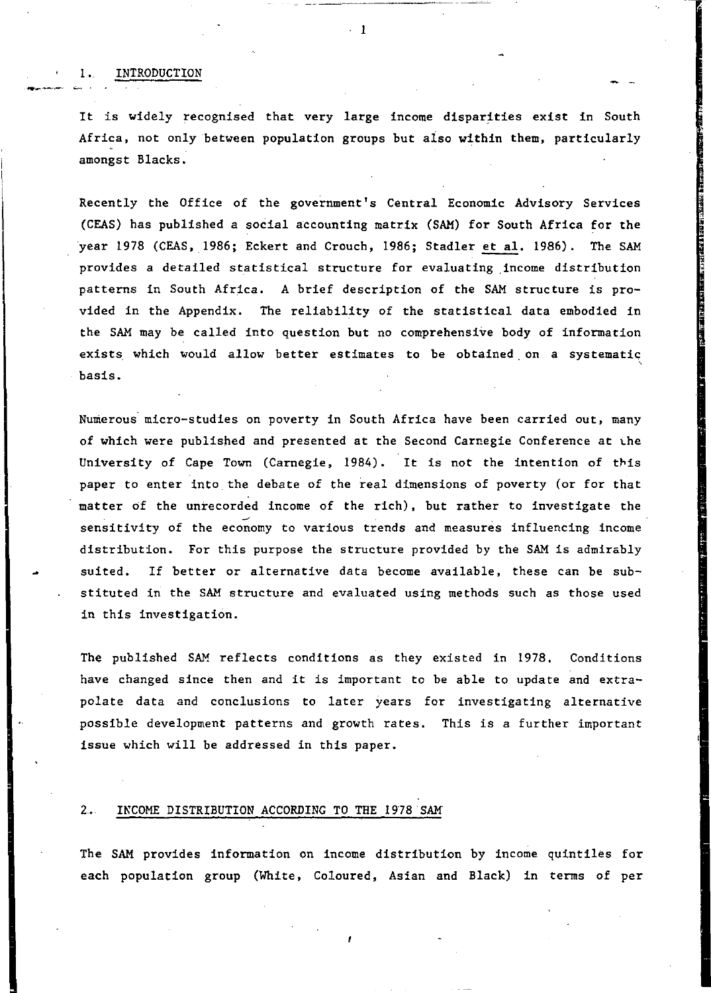#### 1. INTRODUCTION

It is widely recognised that very large income disparities exist in South Africa, not only between population groups but aiso within them, particularly amongst Blacks.

Recently the Office of the government's Central Economic Advisory Services (CEAS) has published a social accounting matrix (SAM) for South Africa for the year 1978 (CEAS, 1986; Eckert and Crouch, 1986; Stadler et al. 1986). The SAM provides a detailed statistical structure for evaluating income distribution patterns in South Africa. A brief description of the SAM structure is provided in the Appendix. The reliability of the statistical data embodied in the SAM may be called into question but no comprehensive body of information exists which would allow better estimates to be obtained on a systematic basis.

Numerous micro-studies on poverty in South Africa have been carried out, many of which were published and presented at the Second Carnegie Conference at .he University of Cape Town (Carnegie, 1984). It is not the intention of this paper to enter into the debate of the real dimensions of poverty (or for that matter of the unrecorded income of the rich), but rather to investigate the sensitivity of the economy to various trends and measures influencing income distribution. For this purpose the structure provided by the SAM is admirably suited. If better or alternative data become available, these can be substituted in the SAM structure and evaluated using methods such as those used in this investigation.

The published SAM reflects conditions as they existed in 1978. Conditions have changed since then and it is important to be able to update and extrapolate data and conclusions to later years for investigating alternative possible development patterns and growth rates. This is a further important issue which will be addressed in this paper.

## 2. IKCOME DISTRIBUTION ACCORDING TO THE 1978 SAM

The SAM provides information on income distribution by income quintiles for each population group (White, Coloured, Asian and Black) in terms of per

 $\cdot$  1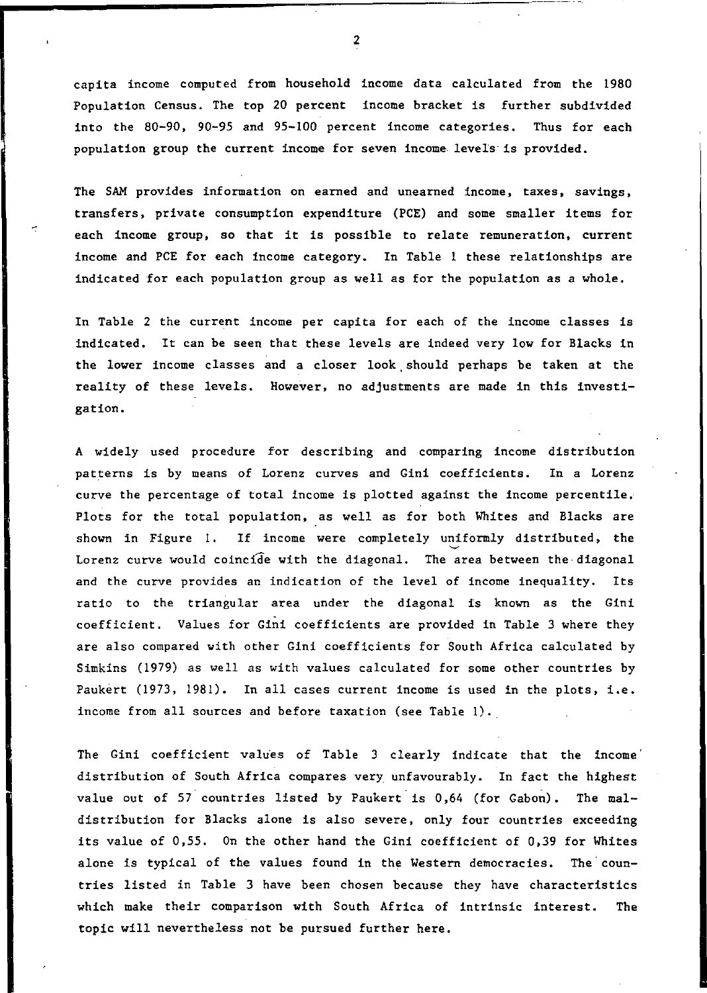capita income computed from household income data calculated from the 1980 Population Census. The top 20 percent income bracket is further subdivided into the 80-90, 90-95 and 95-100 percent income categories. Thus for each population group the current income for seven income. levels is provided.

The SAM provides information on earned and unearned income, taxes, savings, transfers, private consumption expenditure (PCE) and some smaller items for each income group, so that it is possible to relate remuneration, current income and PCE for each income category. In Table 1 these relationships are indicated for each population group as well as for the population as a whole.

In Table 2 the current income per capita for each of the income classes is indicated. It can be seen that these levels are indeed very low for Blacks in the lower income classes and a closer look. should perhaps be taken at the reality of these levels. However, no adjustments are made in this investigation.

A widely used procedure for describing and comparing income distribution patterns is by means of Lorenz curves and Gini coefficients. In a Lorenz curve the percentage of total income is plotted against the income percentile. Plots for the total population, as well as for both Whites and Blacks are shown in Figure 1. If income were completely uniformly distributed, the Lorenz curve would coinc1de with the diagonal. The area between the· diagonal and the curve provides an indication of the level of income inequality. Its ratio to the triangular area under the diagonal is known as the Gini coefficient. Values for Gini coefficients are provided in Table 3 where they are also compared with other Gini coefficients for South Africa calculated by Simkins (1979) as well as with values calculated for some other countries by Paukert (1973, 1981). In all cases current income is used in the plots, i.e. income from all sources and before taxation (see Table 1).

The Gini coefficient values of Table 3 clearly indicate that the income distribution of South Africa compares very unfavourably. In fact the highest value out of 57 countries listed by Paukert is 0,64 (for Gabon). The maldistribution for Blacks alone is also severe, only four countries exceeding its value of 0,55. On the other hand the Gini coefficient of 0,39 for Whites alone is typical of the values found in the Western democracies. The countries listed in Table 3 have been chosen because they have characteristics which make their comparison with South Africa of intrinsic interest. The topic will nevertheless not be pursued further here.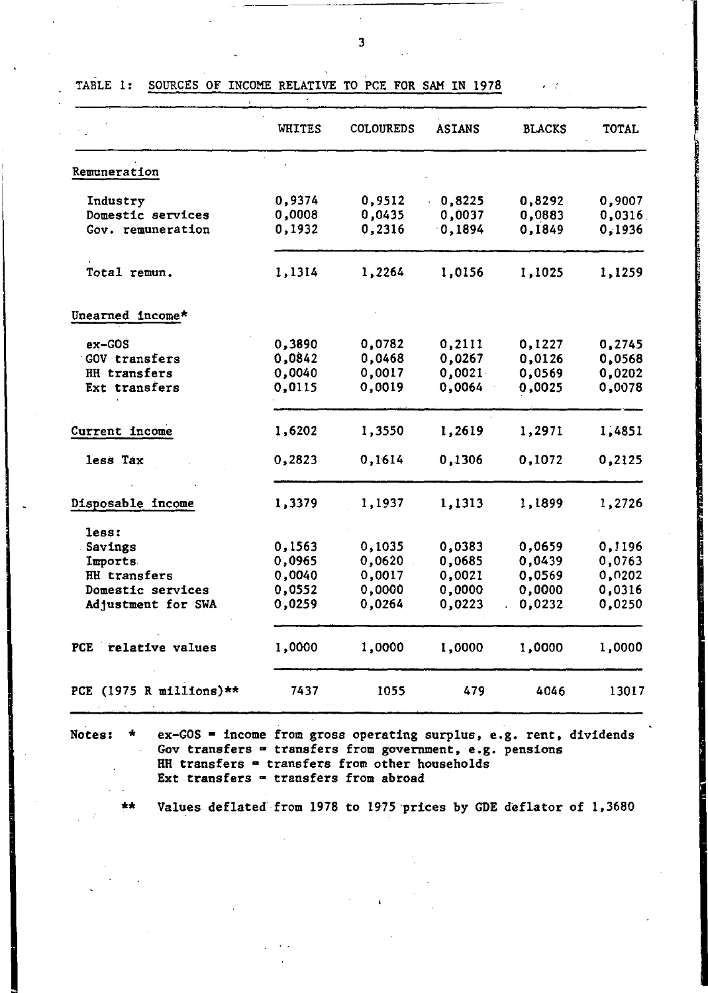|                               | WHITES | <b>COLOUREDS</b> | <b>ASIANS</b> | <b>BLACKS</b> | TOTAL  |
|-------------------------------|--------|------------------|---------------|---------------|--------|
| Remuneration                  |        |                  |               |               |        |
| Industry                      | 0,9374 | 0,9512           | 0,8225        | 0,8292        | 0,9007 |
| Domestic services             | 0,0008 | 0.0435           | 0,0037        | 0,0883        | 0,0316 |
| Gov. remuneration             | 0,1932 | 0,2316           | 0,1894        | 0,1849        | 0,1936 |
| Total remun.                  | 1,1314 | 1,2264           | 1.0156        | 1,1025        | 1,1259 |
| Unearned income*              |        |                  |               |               |        |
| ex-GOS                        | 0.3890 | 0,0782           | 0.2111        | 0.1227        | 0,2745 |
| GOV transfers                 | 0,0842 | 0,0468           | 0.0267        | 0,0126        | 0,0568 |
| HH transfers                  | 0,0040 | 0,0017           | 0,0021        | 0,0569        | 0,0202 |
| Ext transfers                 | 0.0115 | 0,0019           | 0,0064        | 0,0025        | 0,0078 |
| Current income                | 1,6202 | 1,3550           | 1,2619        | 1,2971        | 1,4851 |
| less Tax                      | 0,2823 | 0,1614           | 0,1306        | 0,1072        | 0,2125 |
| Disposable income             | 1,3379 | 1,1937           | 1,1313        | 1,1899        | 1,2726 |
| less:                         |        |                  |               |               |        |
| Savings                       | 0.1563 | 0,1035           | 0,0383        | 0,0659        | 0.1196 |
| <b>Imports</b>                | 0,0965 | 0,0620           | 0,0685        | 0,0439        | 0.0763 |
| HH transfers                  | 0,0040 | 0,0017           | 0.0021        | 0,0569        | 0,0202 |
| Domestic services             | 0.0552 | 0,0000           | 0,0000        | 0,0000        | 0,0316 |
| Adjustment for SWA            | 0,0259 | 0.0264           | 0,0223        | 0,0232        | 0,0250 |
| relative values<br><b>PCE</b> | 1,0000 | 1,0000           | 1,0000        | 1,0000        | 1,0000 |
| PCE (1975 R millions)**       | 7437   | 1055             | 479           | 4046          | 13017  |

TABLE 1: SOURCES OF INCOME RELATIVE TO PCE FOR SAM IN 1978

Notes: \* ex-GOS = income from gross operating surplus, e.g. rent, dividends Gov transfers = transfers from government, e.g. pensions  $HH$  transfers = transfers from other households Ext transfers  $=$  transfers from abroad

\*\* Values deflated from 1978 to 1975 prices by GDE deflator of 1,3680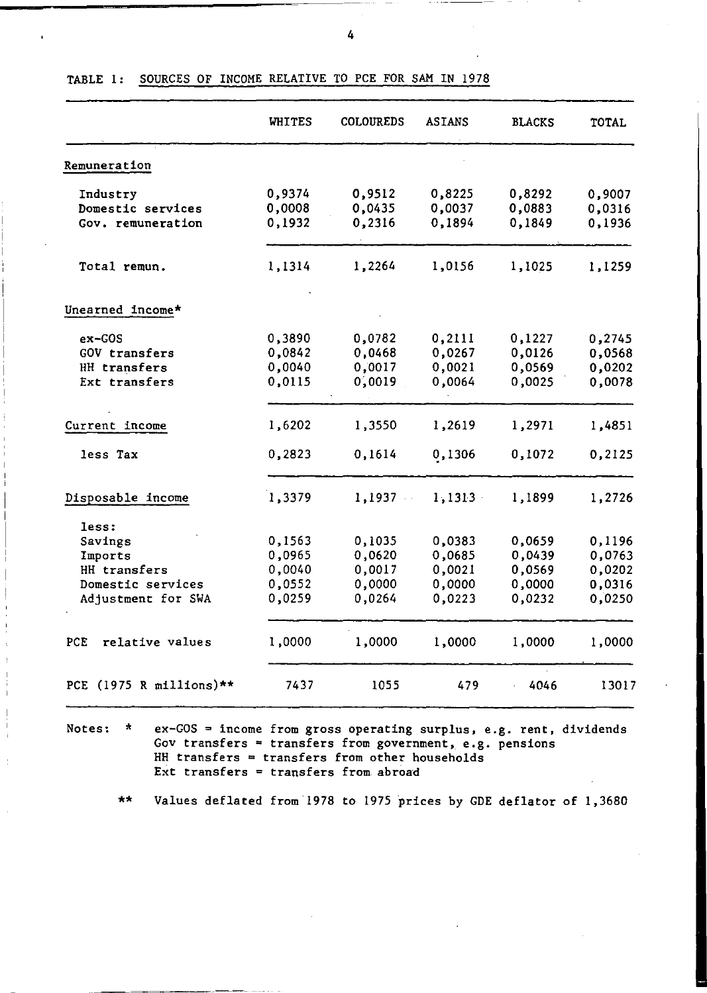|                          | WHITES | <b>COLOUREDS</b> | <b>ASIANS</b> | <b>BLACKS</b> | TOTAL  |
|--------------------------|--------|------------------|---------------|---------------|--------|
| Remuneration             |        |                  |               |               |        |
| Industry                 | 0,9374 | 0,9512           | 0,8225        | 0,8292        | 0,9007 |
| Domestic services        | 0,0008 | 0.0435           | 0,0037        | 0,0883        | 0,0316 |
| Gov. remuneration        | 0,1932 | 0,2316           | 0,1894        | 0,1849        | 0,1936 |
| Total remun.             | 1,1314 | 1,2264           | 1,0156        | 1,1025        | 1,1259 |
| Unearned income*         |        |                  |               |               |        |
| ex-GOS                   | 0,3890 | 0,0782           | 0.2111        | 0,1227        | 0,2745 |
| GOV transfers            | 0,0842 | 0,0468           | 0,0267        | 0,0126        | 0,0568 |
| HH transfers             | 0,0040 | 0.0017           | 0,0021        | 0,0569        | 0.0202 |
| Ext transfers            | 0,0115 | 0,0019           | 0,0064        | 0,0025        | 0,0078 |
| Current income           | 1,6202 | 1,3550           | 1,2619        | 1,2971        | 1,4851 |
| less Tax                 | 0,2823 | 0,1614           | 0,1306        | 0,1072        | 0,2125 |
| Disposable income        | 1,3379 | 1,1937           | 1,1313        | 1,1899        | 1,2726 |
| less:                    |        |                  |               |               |        |
| Savings                  | 0,1563 | 0,1035           | 0,0383        | 0,0659        | 0,1196 |
| Imports                  | 0,0965 | 0,0620           | 0,0685        | 0.0439        | 0,0763 |
| HH transfers             | 0,0040 | 0,0017           | 0,0021        | 0,0569        | 0,0202 |
| Domestic services        | 0,0552 | 0,0000           | 0,0000        | 0,0000        | 0,0316 |
| Adjustment for SWA       | 0,0259 | 0,0264           | 0,0223        | 0,0232        | 0,0250 |
| relative values<br>PCE   | 1,0000 | 1,0000           | 1,0000        | 1,0000        | 1,0000 |
| PCE (1975 R millions) ** | 7437   | 1055             | 479           | 4046          | 13017  |

TABLE 1: SOURCES OF INCOME RELATIVE TO PCE FOR SAM IN 1978

Notes: \* ex-GOS = income from gross operating surplus, e.g. rent, dividends Gov transfers = transfers from government, e.g. pensions HH transfers = transfers from other households Ext transfers = transfers from abroad

\*\* Values deflated from 1978 to 1975 prices by GDE deflator of 1,3680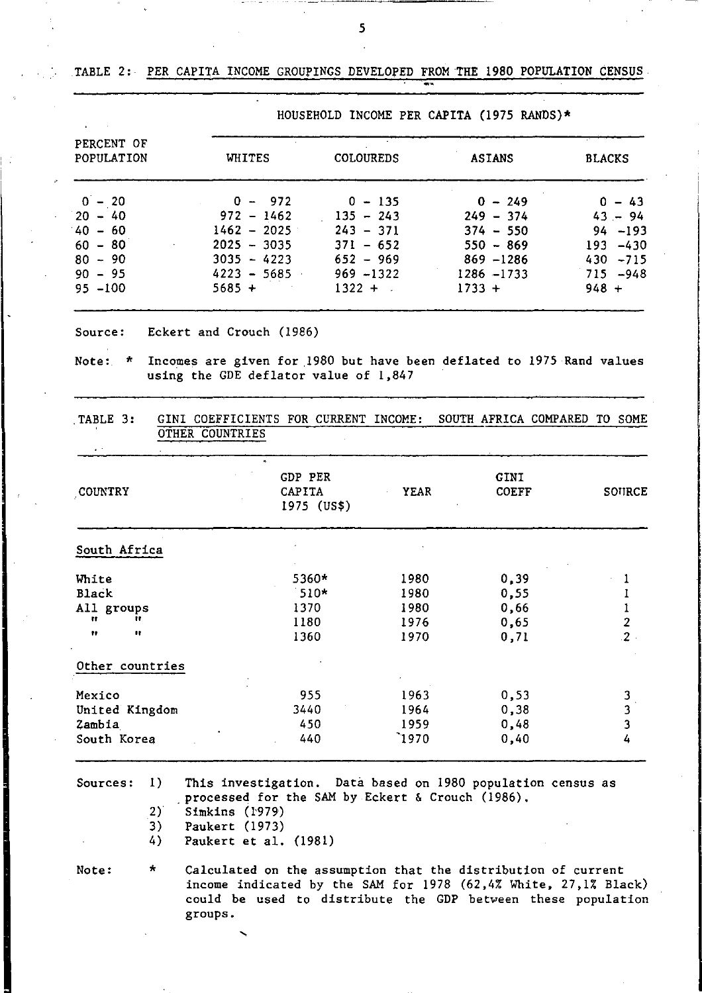TABLE 2: PER CAPITA INCOME GROUpINGS DEVELOPED FROM 'THE 1980 POPULATION CENSUS

|                          |               |                  | ROUSERVED INCOME FER CAFIIA (1975 RANDS)" |               |
|--------------------------|---------------|------------------|-------------------------------------------|---------------|
| PERCENT OF<br>POPULATION | WHITES        | <b>COLOUREDS</b> | <b>ASIANS</b>                             | <b>BLACKS</b> |
| $0 - 20$                 | $0 - 972$     | $0 - 135$        | $0 - 249$                                 | $0 - 43$      |
| $20 - 40$                | $972 - 1462$  | $135 - 243$      | $249 - 374$                               | $43 - 94$     |
| $40 - 60$                | $1462 - 2025$ | $243 - 371$      | $374 - 550$                               | $94 - 193$    |
| $60 - 80$                | $2025 - 3035$ | $371 - 652$      | $550 - 869$                               | $193 - 430$   |
| $80 - 90$                | $3035 - 4223$ | $652 - 969$      | $869 - 1286$                              | $430 - 715$   |
| $90 - 95$                | $4223 - 5685$ | $969 - 1322$     | 1286 -1733                                | $715 - 948$   |
| $95 - 100$               | $5685 +$      | $1322 + .$       | $1733 +$                                  | $948 +$       |

HOUSEHOLD INCOME PER CAPITA (1975 RANDS)\*

Source: Eckert and Crouch (1986)

Note: \* Incomes are given for 1980 but have been deflated to 1975 Rand values using the GDE deflator value of 1,847

,TABLE 3: GINI COEFFICIENTS FOR CURRENT INCOME: SOUTH AFRICA COMPARED TO SOME OTHER COUNTRIES

| <b>COUNTRY</b>       | GDP PER<br>CAPITA<br>1975 (US\$) | YEAR | GINI<br>COEFF | SOURCE    |
|----------------------|----------------------------------|------|---------------|-----------|
| South Africa         |                                  |      |               |           |
| White                | 5360*                            | 1980 | 0.39          |           |
| Black                | $510*$                           | 1980 | 0,55          |           |
| All groups           | 1370                             | 1980 | 0,66          |           |
| Ħ<br>"               | 1180                             | 1976 | 0.65          | 2         |
| $\bullet\bullet$<br> | 1360                             | 1970 | 0,71          | $\sim2$ . |
| Other countries      |                                  |      |               |           |
| Mexico               | 955                              | 1963 | 0,53          | з         |
| United Kingdom       | 3440                             | 1964 | 0.38          | 3         |
| Zambia               | 450                              | 1959 | 0,48          | 3         |
| South Korea          | 440                              | 1970 | 0,40          | 4         |

Sources: 1)

This investigation. Data based on 1980 population census as processed for the SAM by Eckert & Crouch (1986).

- 2) Simkins (1979)
- 3) Paukert (1973)
- 4) Paukert et al. (1981)

Note: \* Calculated on the assumption that the distribution of current income indicated by the SAM for 1978 (62,4% White, 27,1% Black) could be used to distribute the GDP between these population groups.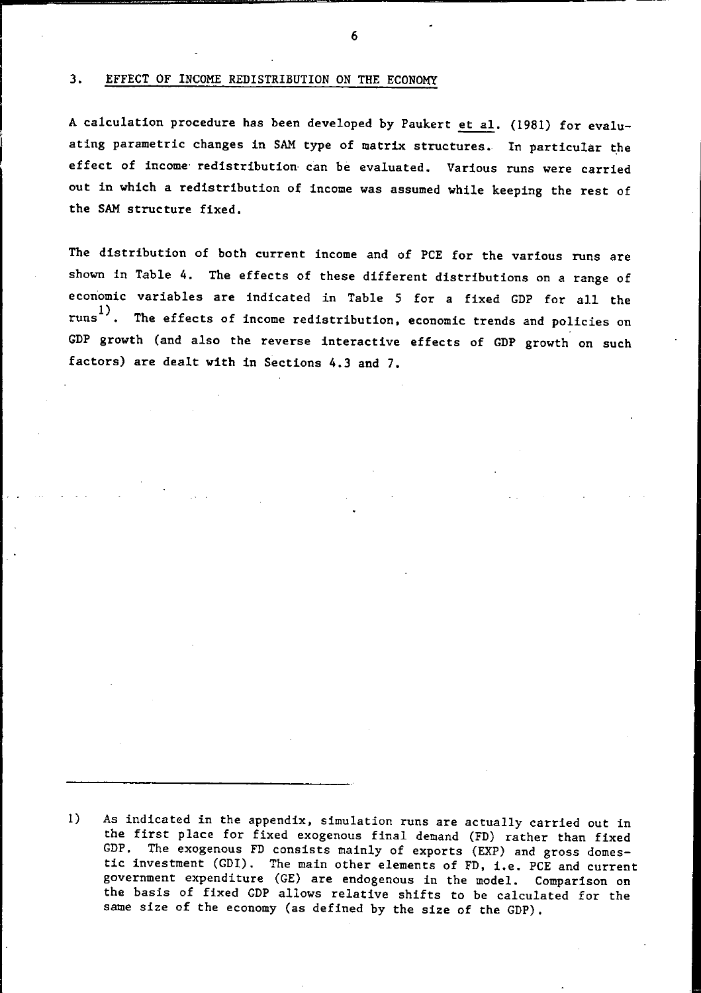# 3. EFFECT OF INCOME REDISTRIBUTION ON THE ECONOMY

A calculation procedure has been developed by Paukert et al. (1981) for evaluating parametric changes in SAM type of matrix structures. In particular the effect of income' redistribution, can be evaluated. Various runs were carried out in which a redistribution of income was assumed while keeping the rest of the SAM structure fixed.

The distribution of both current income and of PCE for the various runs are shown in Table 4. The effects of these different distributions on a range of economic variables are indicated in Table 5 for a fixed GDP for all the runs<sup>1)</sup>. The effects of income redistribution, economic trends and policies on GDP growth (and also the reverse interactive effects of GDP growth on such factors) are dealt with in Sections 4.3 and 7.

1) As indicated in the appendix, simulation runs are actually carried out in the first place for fixed exogenous final demand (FD) rather than fixed GDP. The exogenous FD consists mainly of exports (EXP) and gross domestic investment (GDI). The main other elements of FD, i.e. PCE and current government expenditure (GE) are endogenous in the model. Comparison on the basis of fixed GDP allows relative shifts to be calculated for the same size of the economy (as defined by the size of the GDP).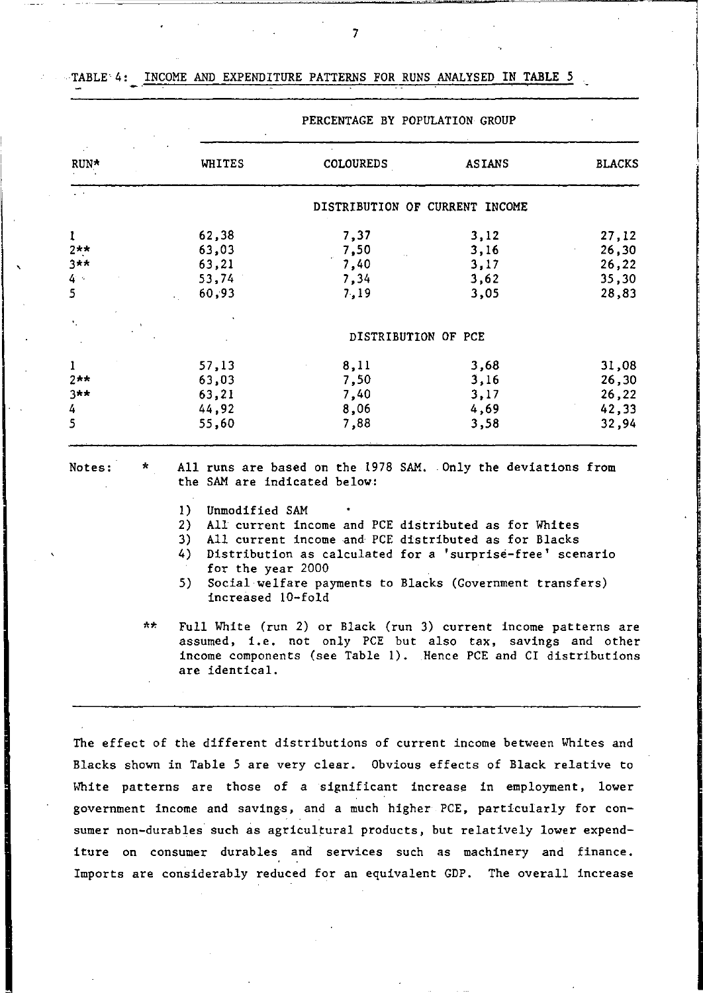| RUN*                                         |    | WHITES                                                                                                                 | COLOUREDS                                                                                                                                                                                                                                                                                             | <b>ASIANS</b>                        | <b>BLACKS</b>                             |
|----------------------------------------------|----|------------------------------------------------------------------------------------------------------------------------|-------------------------------------------------------------------------------------------------------------------------------------------------------------------------------------------------------------------------------------------------------------------------------------------------------|--------------------------------------|-------------------------------------------|
|                                              |    |                                                                                                                        | DISTRIBUTION OF CURRENT INCOME                                                                                                                                                                                                                                                                        |                                      |                                           |
| $\mathbf{I}$<br>$2**$<br>$3**$<br>$4 -$<br>5 |    | 62,38<br>63,03<br>63,21<br>53,74<br>60,93                                                                              | 7,37<br>7.50<br>7,40<br>7,34<br>7,19                                                                                                                                                                                                                                                                  | 3,12<br>3,16<br>3,17<br>3,62<br>3,05 | 27,12<br>26,30<br>26,22<br>35,30<br>28,83 |
| ۰.                                           |    |                                                                                                                        | DISTRIBUTION OF PCE                                                                                                                                                                                                                                                                                   |                                      |                                           |
| 1<br>$2**$<br>$3***$<br>4<br>5               |    | 57,13<br>63,03<br>63,21<br>44.92<br>55,60                                                                              | 8,11<br>7,50<br>7,40<br>8,06<br>7,88                                                                                                                                                                                                                                                                  | 3,68<br>3,16<br>3,17<br>4,69<br>3,58 | 31,08<br>26,30<br>26,22<br>42,33<br>32,94 |
| Notes:                                       | *  | the SAM are indicated below:<br>Unmodified SAM<br>1)<br>2)<br>3)<br>4)<br>for the year 2000<br>5)<br>increased 10-fold | All runs are based on the 1978 SAM. Only the deviations from<br>All current income and PCE distributed as for Whites<br>All current income and PCE distributed as for Blacks<br>Distribution as calculated for a 'surprise-free' scenario<br>Social welfare payments to Blacks (Government transfers) |                                      |                                           |
|                                              | 六大 | are identical.                                                                                                         | Full White (run 2) or Black (run 3) current income patterns are<br>assumed, i.e. not only PCE but also tax, savings and other<br>income components (see Table 1). Hence PCE and CI distributions                                                                                                      |                                      |                                           |

PERCENTAGE BY POPULATION GROUP

The effect of the different distributions of current income between Whites and Blacks shown in Table 5 are very clear. Obvious effects of Black relative to White patterns are those of a significant increase in employment, lower government income and savings, and a much higher PCE, particularly for consumer non-durables such as agricultural products, but relatively lower expenditure on consumer durables and services such as machinery and finance. Imports are considerably reduced for an equivalent GDP. The overall increase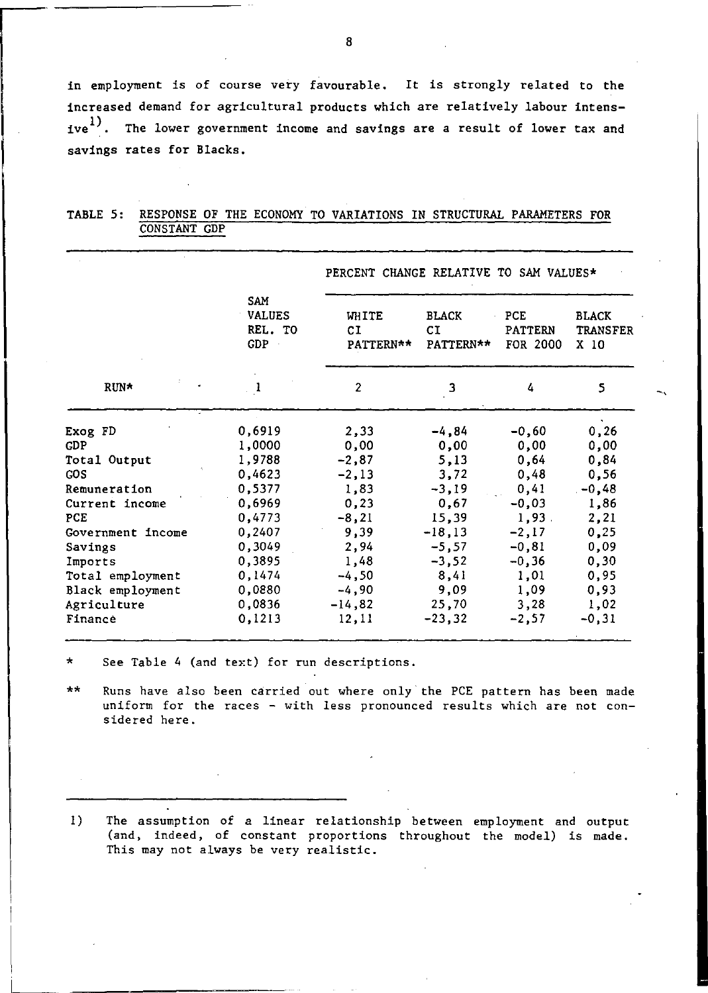in employment is of course very favourable. It is strongly related to the increased demand for agricultural products which are relatively labour intensive<sup>1)</sup>. The lower government income and savings are a result of lower tax and savings rates for Blacks.

|                   |                                        | PERCENT CHANGE RELATIVE TO SAM VALUES* |                                 |                                   |                                                    |
|-------------------|----------------------------------------|----------------------------------------|---------------------------------|-----------------------------------|----------------------------------------------------|
|                   | SAM<br><b>VALUES</b><br>REL. TO<br>GDP | WHITE<br>СI<br>PATTERN**               | <b>BLACK</b><br>CI<br>PATTERN** | PCE<br><b>PATTERN</b><br>FOR 2000 | <b>BLACK</b><br><b>TRANSFER</b><br>X <sub>10</sub> |
| RUN*              |                                        | $\overline{2}$                         | 3                               | 4                                 | 5                                                  |
| Exog FD           | 0,6919                                 | 2,33                                   | $-4,84$                         | $-0.60$                           | 0, 26                                              |
| GDP               | 1,0000                                 | 0,00                                   | 0,00                            | 0,00                              | 0,00                                               |
| Total Output      | 1,9788                                 | $-2,87$                                | 5,13                            | 0,64                              | 0.84                                               |
| <b>GOS</b>        | 0,4623                                 | $-2,13$                                | 3,72                            | 0,48                              | 0,56                                               |
| Remuneration      | 0,5377                                 | 1,83                                   | $-3,19$                         | 0.41                              | $-0,48$                                            |
| Current income    | 0,6969                                 | 0.23                                   | 0,67                            | $-0,03$                           | 1,86                                               |
| PCE               | 0,4773                                 | $-8.21$                                | 15,39                           | 1,93.                             | 2,21                                               |
| Government income | 0,2407                                 | 9,39                                   | $-18,13$                        | $-2, 17$                          | 0.25                                               |
| Savings           | 0,3049                                 | 2,94                                   | $-5,57$                         | $-0.81$                           | 0,09                                               |
| Imports           | 0,3895                                 | 1,48                                   | $-3,52$                         | $-0, 36$                          | 0, 30                                              |
| Total employment  | 0,1474                                 | $-4,50$                                | 8,41                            | 1,01                              | 0,95                                               |
| Black employment  | 0,0880                                 | $-4,90$                                | 9,09                            | 1,09                              | 0.93                                               |
| Agriculture       | 0,0836                                 | $-14,82$                               | 25,70                           | 3,28                              | 1,02                                               |
| Finance           | 0,1213                                 | 12,11                                  | $-23, 32$                       | $-2,57$                           | $-0, 31$                                           |

# TABLE 5: RESPONSE OF THE ECONOMY TO VARIATIONS IN STRUCTURAL PARAMETERS FOR CONSTANT GDP

See Table 4 (and text) for run descriptions.

\*\* Runs have also been carried out where only the PCE pattern has been made uniform for the races - with less pronounced results which are not considered here.

1) The assumption of a linear relationship between employment and output (and, indeed, of constant proportions throughout the model) is made. This may not always be very realistic.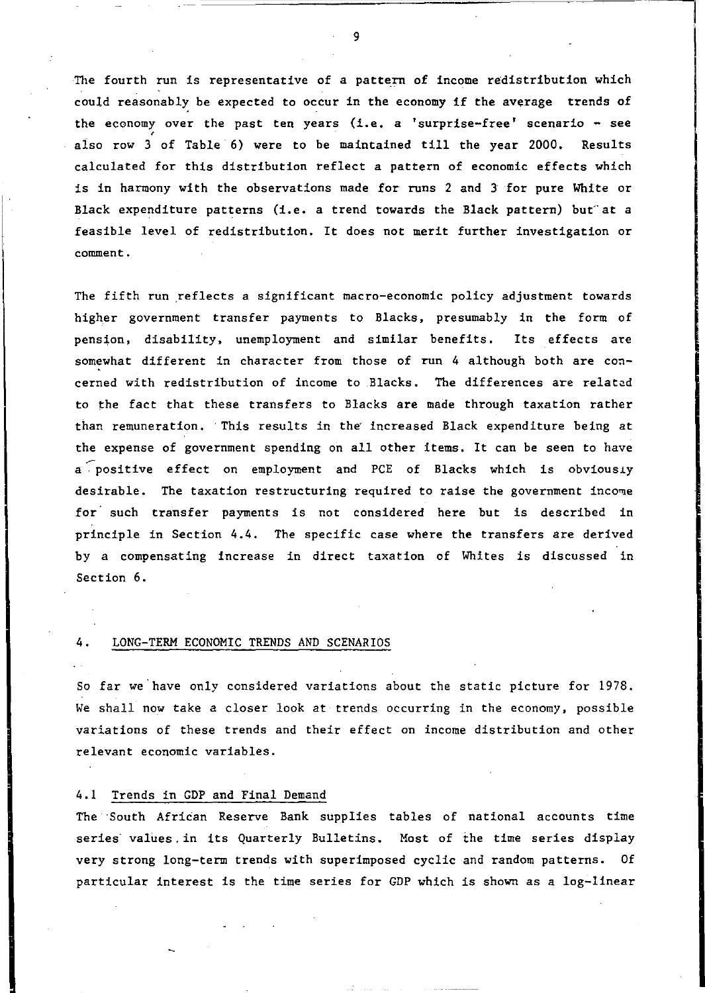The fourth run is representative of a pattern of income redistribution which could reasonably be expected to occur in the economy if the average trends of the economy over the past ten years (i.e. a 'surprise-free' scenario - see also row 3 of Table 6) were to be maintained till the year 2000. Results calculated for this distribution reflect a pattern of economic effects which is in harmony with the observations made for runs 2 and 3 for pure White or Black expenditure patterns (i.e. a trend towards the Black pattern) but at a feasible level of redistribution. It does not merit further investigation or **comment.** 

The fifth run reflects a significant macro-economic policy adjustment towards higher government transfer payments to Blacks, presumably in the form of pension, disability, unemployment and similar benefits. Its effects are somewhat different in character from those of run 4 although both are concerned with redistribution of income to Blacks. The differences are related to the fact that these transfers to Blacks are made through taxation rather than remuneration. This results in the' increased Black expenditure being at the expense of government spending on all other items. It can be seen to have a positive effect on employment and PCE of Blacks which is obviously desirable. The taxation restructuring required to raise the government income for' such transfer payments is not considered here but is described in principle in Section 4.4. The specific case where the transfers are derived by a compensating increase in direct taxation of Whites is discussed in Section 6.

## 4. LONG-TERM ECONOMIC TRENDS AND SCENARIOS

So far we'have only considered variations about the static picture for 1978. We shall now take a closer look at trends occurring in the economy, possible variations of these trends and their effect on income distribution and other relevant economic variables.

## 4.1 Trends in GDP and Final Demand

The 'South African Reserve Bank supplies tables of national accounts time series values. in its Quarterly Bulletins. Most of the time series display very strong long-term trends with superimposed cyclic and random patterns. Of particular interest is the time series for GDP which is shown as a log-linear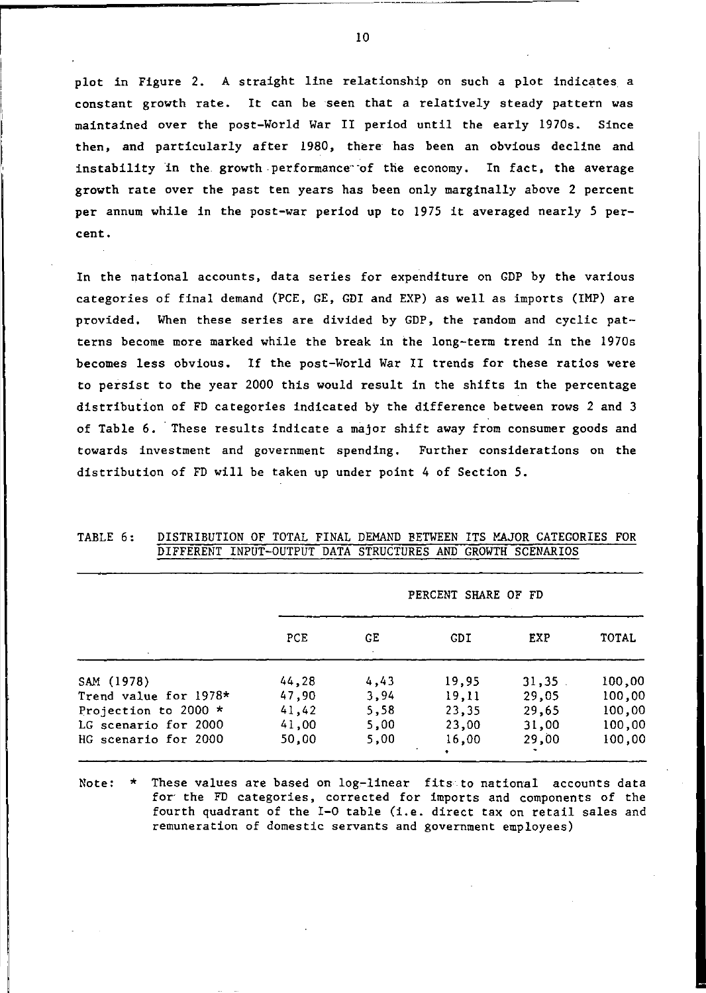plot in Figure 2. A straight line relationship on such a plot indicates a constant growth rate. It can be seen that a relatively steady pattern was maintained over the post-World War II period until the early 1970s. Since then, and particularly after 1980, there has been an obvious decline and instability in the growth performance of the economy. In fact, the average growth rate over the past ten years has been only marginally above 2 percent per annum while in the post-war period up to 1975 it averaged nearly 5 percent.

In the national accounts, data series for expenditure on GDP by the various categories of final demand (PCE, GE, GDI and EXP) as well as imports (IMP) are provided. When these series are divided by GDP, the random and cyclic patterns become more marked while the break in the long-term trend in the 1970s becomes less obvious. If the post-World War II trends for these ratios were to persist to the year 2000 this would result in the shifts in the percentage distribution of FD categories indicated by the difference between rows 2 and 3 of Table 6. These results indicate a major shift away from consumer goods and towards investment and government spending. Further considerations on the distribution of FD will be taken up under point 4 of Section 5.

|                       | PERCENT SHARE OF FD |      |       |       |        |  |  |
|-----------------------|---------------------|------|-------|-------|--------|--|--|
|                       | PCE                 | GE   | GDI   | EXP   | TOTAL  |  |  |
| SAM (1978)            | 44,28               | 4.43 | 19,95 | 31,35 | 100,00 |  |  |
| Trend value for 1978* | 47,90               | 3,94 | 19,11 | 29.05 | 100,00 |  |  |
| Projection to 2000 *  | 41.42               | 5.58 | 23,35 | 29,65 | 100,00 |  |  |
| LG scenario for 2000  | 41,00               | 5,00 | 23,00 | 31,00 | 100,00 |  |  |
| HG scenario for 2000  | 50.00               | 5,00 | 16.00 | 29,00 | 100,00 |  |  |
|                       |                     |      | ٠     |       |        |  |  |

TABLE 6: DISTRIBUTION OF TOTAL FINAL DEMAND BETWEEN ITS MAJOR CATEGORIES FOR DIFFERENT INPUT-OUTPUT DATA STRUCTURES AND GROWTH SCENARIOS

Note: \* These values are based on log-linear fits to national accounts data for the FD categories, corrected for imports and components of the fourth quadrant of the 1-0 table (i.e. direct tax on retail sales and remuneration of domestic servants and government employees)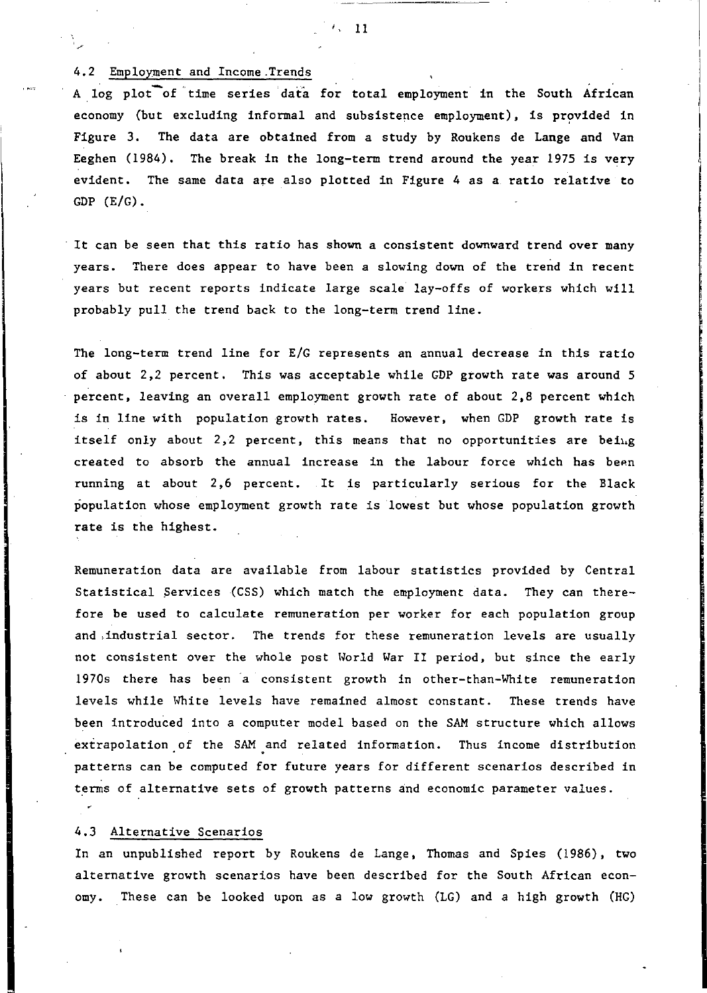A log plot-of' time series' data for total employment in the South African economy (but excluding informal and subsistence employment), is provided in Figure 3. The data are obtained from a study by Roukens de Lange and Van Eeghen (1984). The break in the long-term trend around the year 1975 is very evident. The same data are also plotted in Figure 4 as a ratio relative to GDP (E/G).

It can be seen that this ratio has shown a consistent downward trend over many years. There does appear to have been a slowing down of the trend in recent years but recent reports indicate large scale lay-offs of workers which will probably pull the trend back to the long-term trend line.

The long-term trend line for E/G represents an annual decrease in this ratio of about 2,2 percent. This was acceptable while GDP growth rate was around 5 percent, leaving an overall employment growth rate of about 2,8 percent which is in line with population growth rates. However, when GDP growth rate is itself only about  $2,2$  percent, this means that no opportunities are being created to absorb the annual increase in the labour force which has been running at about 2,6 percent. It is particularly serious for the Black population whose employment growth rate is lowest but whose population growth rate is the highest.

Remuneration data are available from labour statistics provided by Central Statistical services (CSS) which match the employment data. They can therefore be used to calculate remuneration per worker for each population group and ,industrial sector. The trends for these remuneration levels are usually not consistent over the whole post World War II period, but since the early 1970s there has been 'a consistent growth in other-than-White remuneration levels while White levels have remained almost constant. These trends have been introduced into a computer model based on the SAM structure which allows extrapolation of the SAM and related information. Thus income distribution patterns can be computed for future years for different scenarios described in terms of alternative sets of growth patterns and economic parameter values.

### 4.3 Alternative Scenarios

In an unpublished report by Roukens de Lange, Thomas and Spies (1986), two alternative growth scenarios have been described for the South African economy. These can be looked upon as a low growth (LG) and a high growth (HG)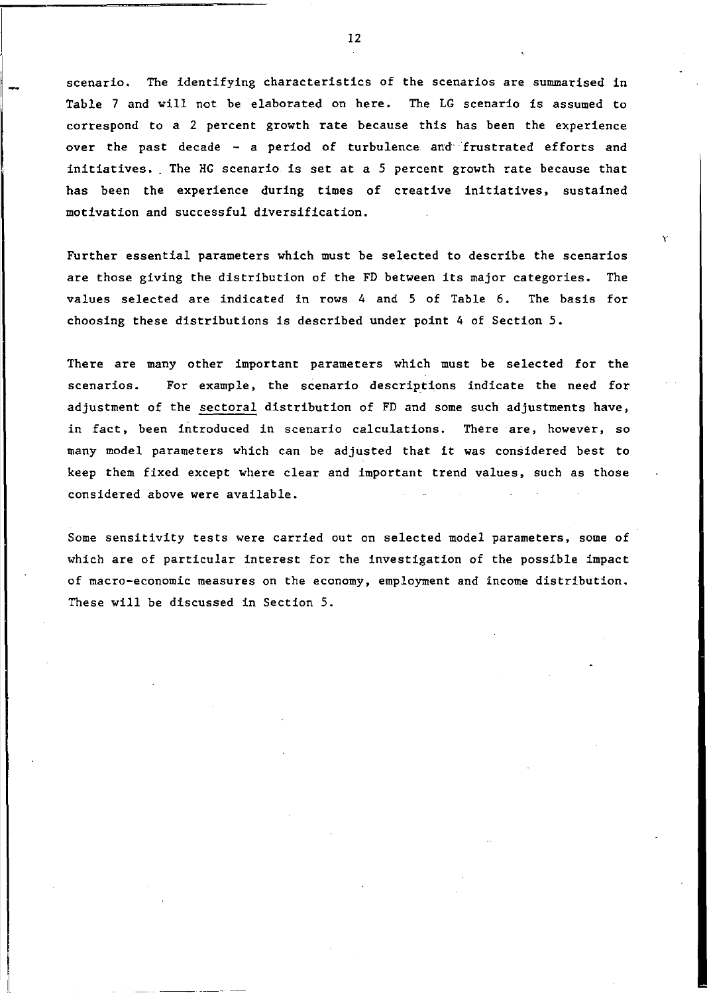scenario. The identifying characteristics of the scenarios are summarised in Table 7 and will not be elaborated on here. The LG scenario is assumed to correspond to a 2 percent growth rate because this has been the experience over the past decade - a period of turbulence and'frustrated efforts and initiatives. The HG scenario is set at a 5 percent growth rate because that has been the experience during times of creative initiatives, sustained motivation and successful diversification.

1-

Further essential parameters which must be selected to describe the scenarios are those giving the distribution of the FD between its major categories. The values selected are indicated in rows 4 and 5 of Table 6. The basis for choosing these distributions is described under point 4 of Section 5.

There are many other important parameters which must be selected for the scenarios. For example, the scenario descriptions indicate the need for adjustment of the sectoral distribution of FD and some such adjustments have, in fact, been introduced in scenario calculations. There are, however, so many model parameters which can be adjusted that it was considered best to keep them fixed except where clear and important trend values, such as those considered above were available.

Some sensitivity tests were carried out on selected model parameters, some of which are of particular interest for the investigation of the possible impact of macro-economic measures on the economy, employment and income distribution. These will be discussed in Section 5.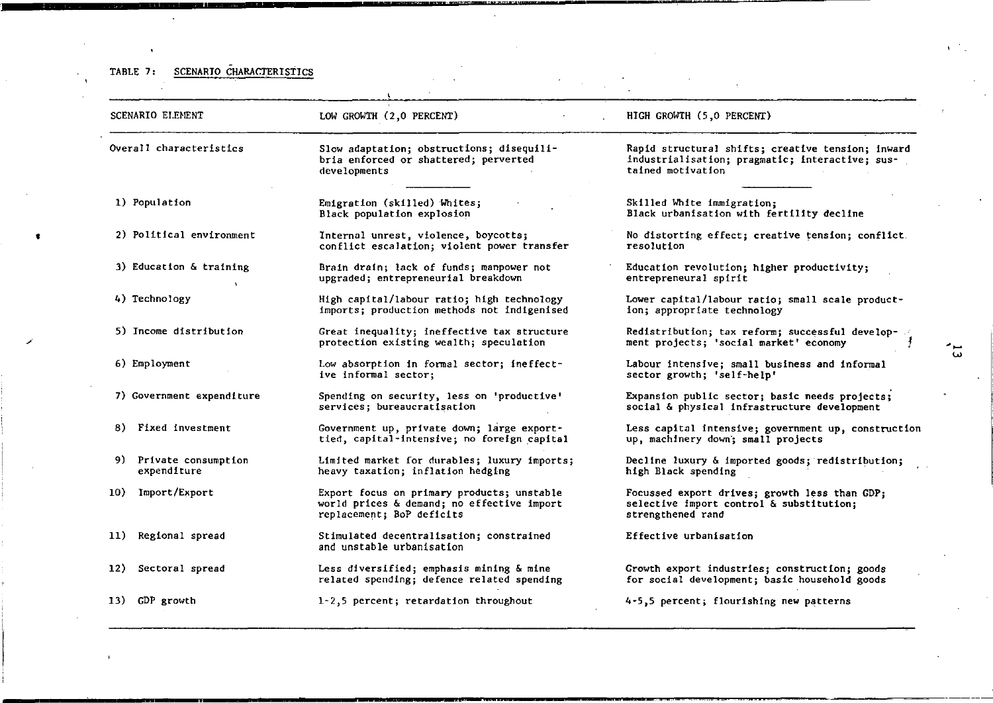# TABLE 7: SCENARIO CHARACTERISTICS

 $\overline{a}$ 

.

| <b>SCENARIO ELEMENT</b>               | LOW GROWTH (2.0 PERCENT)                                                                                              | HIGH GROWTH (5,0 PERCENT)                                                                                                 |
|---------------------------------------|-----------------------------------------------------------------------------------------------------------------------|---------------------------------------------------------------------------------------------------------------------------|
| Overall characteristics               | Slow adaptation; obstructions; disequili-<br>bria enforced or shattered; perverted<br>developments                    | Rapid structural shifts; creative tension; inward<br>industrialisation; pragmatic; interactive; sus-<br>tained motivation |
| 1) Population                         | Emigration (skilled) Whites;<br>Black population explosion                                                            | Skilled White immigration:<br>Black urbanisation with fertility decline                                                   |
| 2) Political environment              | Internal unrest, violence, boycotts;<br>conflict escalation; violent power transfer                                   | No distorting effect; creative tension; conflict.<br>resolution                                                           |
| 3) Education & training               | Brain drain; lack of funds; manpower not<br>upgraded; entrepreneurial breakdown                                       | Education revolution; higher productivity;<br>entrepreneural spirit                                                       |
| 4) Technology                         | High capital/labour ratio; high technology<br>imports; production methods not indigenised                             | Lower capital/labour ratio; small scale product-<br>ion; appropriate technology                                           |
| 5) Income distribution                | Great inequality; ineffective tax structure<br>protection existing wealth; speculation                                | Redistribution; tax reform; successful develop-<br>ment projects; 'social market' economy                                 |
| 6) Employment                         | Low absorption in formal sector; ineffect-<br>ive informal sector;                                                    | Labour intensive; small business and informal<br>sector growth; 'self-help'                                               |
| 7) Government expenditure             | Spending on security, less on 'productive'<br>services: bureaucratisation                                             | Expansion public sector; basic needs projects;<br>social & physical infrastructure development                            |
| Fixed investment<br>8)                | Government up, private down; large export-<br>tied, capital-intensive; no foreign capital                             | Less capital intensive; government up, construction<br>up, machinery down; small projects                                 |
| 9) Private consumption<br>expenditure | Limited market for durables; luxury imports;<br>heavy taxation; inflation hedging                                     | Decline luxury & imported goods; redistribution;<br>high Black spending                                                   |
| 10) Import/Export                     | Export focus on primary products; unstable<br>world prices & demand; no effective import<br>replacement; BoP deficits | Focussed export drives; growth less than GDP;<br>selective import control & substitution:<br>strengthened rand            |
| Regional spread<br>11)                | Stimulated decentralisation; constrained<br>and unstable urbanisation                                                 | Effective urbanisation                                                                                                    |
| Sectoral spread<br>12)                | Less diversified; emphasis mining & mine<br>related spending; defence related spending                                | Growth export industries; construction; goods<br>for social development; basic household goods                            |
| 13) GDP growth                        | 1-2,5 percent; retardation throughout                                                                                 | 4-5.5 percent; flourishing new patterns                                                                                   |

 $\label{eq:2} \mathcal{L}^{\text{max}}_{\text{max}} = \frac{1}{2} \sum_{i=1}^{N} \frac{1}{2} \sum_{i=1}^{N} \frac{1}{2} \sum_{i=1}^{N} \frac{1}{2} \sum_{i=1}^{N} \frac{1}{2} \sum_{i=1}^{N} \frac{1}{2} \sum_{i=1}^{N} \frac{1}{2} \sum_{i=1}^{N} \frac{1}{2} \sum_{i=1}^{N} \frac{1}{2} \sum_{i=1}^{N} \frac{1}{2} \sum_{i=1}^{N} \frac{1}{2} \sum_{i=1}^{N} \frac{1}{2}$ 

 $\bar{z}$ 

ä,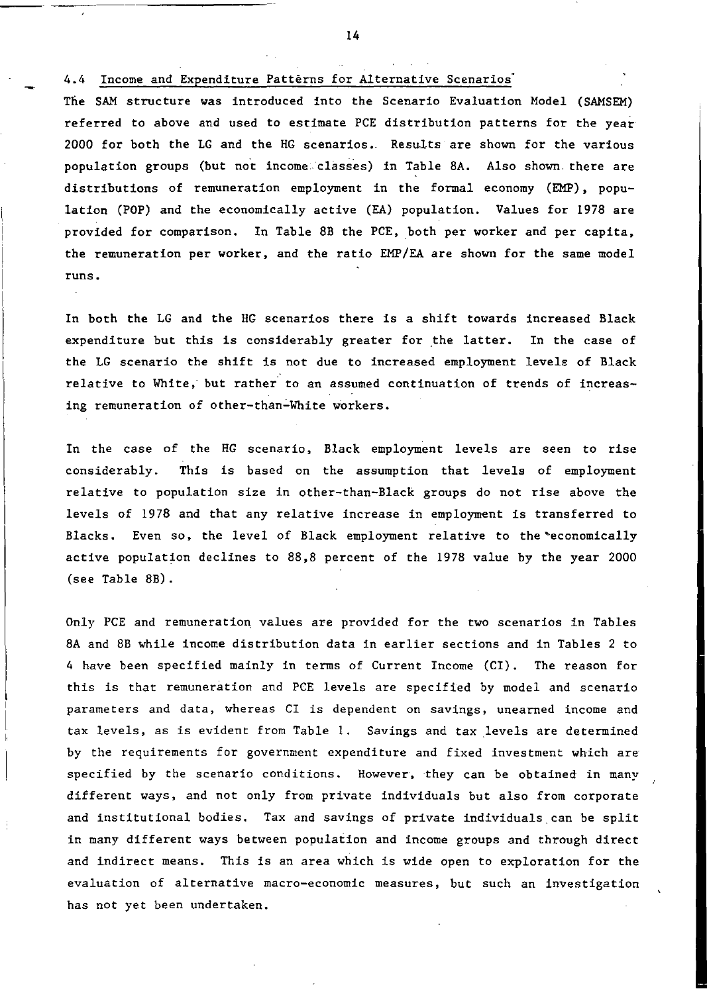4.4 Income and Expenditure Patterns for Alternative Scenarios<sup>\*</sup>

The SAM structure was introduced into the Scenario Evaluation Model (SAMSEM) referred to above and used to estimate PCE distribution patterns for the year 2000 for both the LG and the HG scenarios. Results are shown for the various population groups (but not income classes) in Table SA. Also shown, there are distributions of remuneration employment in the formal economy (EMP), population (POP) and the economically active (EA) population. Values for 1978 are provided for comparison. In Table 8B the PCE, both per worker and per capita, the remuneration per worker, and the ratio EMP/EA are shown for the same model **runs.** 

In both the LG and the HG scenarios there is a shift towards increased Black expenditure but this is considerably greater for the latter. In the case of the LG scenario the shift is not due to increased employment levels of Black relative to White, but rather' to an assumed continuation of trends of increasing remuneration of other-than-White workers.

In the case of the HG **scenario,**  Black employment levels are seen to rise considerably. based on the assumption that levels of employment relative to population size in other-than-Black groups do not rise above the levels of 1978 and that any relative increase in employment is transferred to Blacks. Even so, the level of Black employment relative to the economically active population declines to SS,S percent of the 1978 value by the year 2000 (see Table SB).

Only PCE and remuneration values are provided for the two scenarios in Tables SA and 8B while income distribution data in earlier sections and in Tables 2 to 4 have been specified mainly in terms of Current Income (CI). The reason for this is that remuneration and PCE levels are specified by model and scenario parameters and data, whereas CI is dependent on savings, unearned income and tax levels, as is evident from Table 1. Savings and tax levels are determined by the requirements for government expenditure and fixed investment which are specified by the scenario conditions. However, they can be obtained in many different ways, and not only from private individuals but also from corporate and institutional bodies. Tax and savings of private individuals can be split in many different ways between population and income groups and through direct and indirect means. This is an area which is wide open to exploration for the evaluation of alternative macro-economic measures, but such an investigation has not yet been undertaken.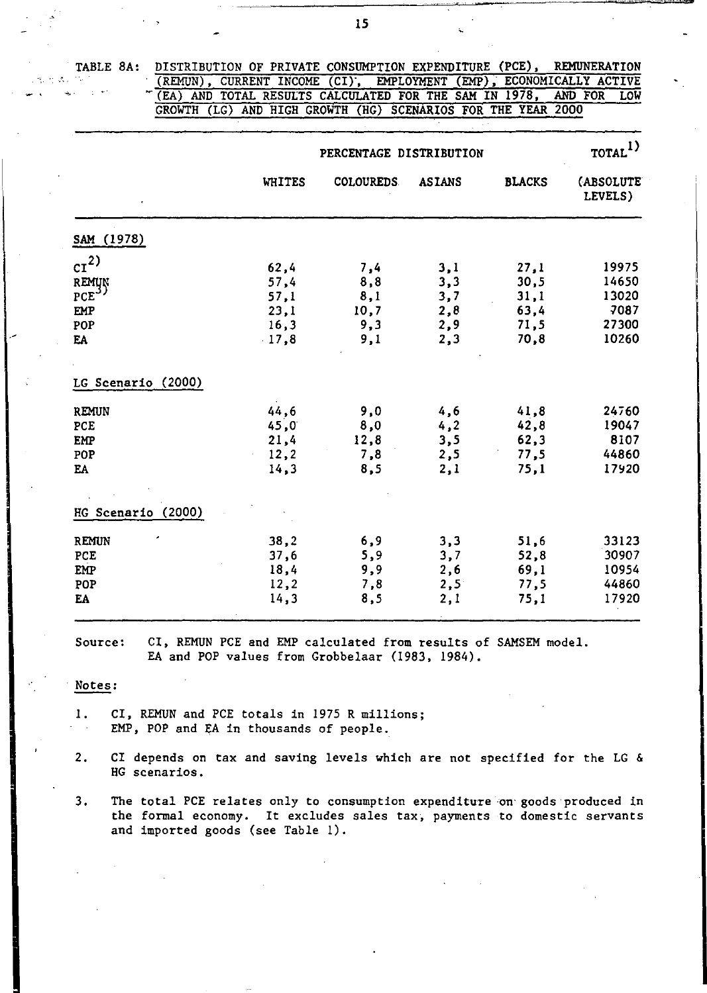TABLE 8A: DISTRIBUTION OF PRIVATE CONSUMPTION EXPENDITURE (PCE). REMUNERATION (REMUN), CURRENT INCOME (CI), EMPLOYMENT (EMP), ECONOMICALLY ACTIVE (EA) AND TOTAL RESULTS CALCULATED FOR THE SAM IN 1978, AND FOR LOW GROWTH (LG) AND HIGH GROWTH (HG) SCENARIOS FOR THE YEAR 2000

|                                                                                                   | PERCENTAGE DISTRIBUTION                                 | TOTAL <sup>1)</sup>                            |                                                |                                                      |                                                            |
|---------------------------------------------------------------------------------------------------|---------------------------------------------------------|------------------------------------------------|------------------------------------------------|------------------------------------------------------|------------------------------------------------------------|
|                                                                                                   | <b>WHITES</b>                                           | <b>COLOUREDS</b>                               | <b>ASIANS</b>                                  | <b>BLACKS</b>                                        | (ABSOLUTE)<br>LEVELS)                                      |
| SAM (1978)                                                                                        |                                                         |                                                |                                                |                                                      |                                                            |
| $\text{cr}^{2)}$<br>REMUN<br>PCE <sup>3)</sup><br>EMP<br>POP<br>EA<br>LG Scenario (2000)<br>REMUN | 62,4<br>57,4<br>57,1<br>23.1<br>16,3<br>$-17.8$<br>44,6 | 7,4<br>8,8<br>8,1<br>10,7<br>9,3<br>9,1<br>9.0 | 3,1<br>3,3<br>3,7<br>2,8<br>2, 9<br>2,3<br>4,6 | 27,1<br>30,5<br>31,1<br>63,4<br>71,5<br>70.8<br>41,8 | 19975<br>14650<br>13020<br>7087<br>27300<br>10260<br>24760 |
| PCE<br>EMP<br>POP<br>EA<br>HG Scenario (2000)                                                     | 45,0<br>21,4<br>12, 2<br>14.3                           | 8,0<br>12,8<br>7,8<br>8.5                      | 4,2<br>3,5<br>2,5<br>2,1                       | 42,8<br>62.3<br>77.5<br>75.1                         | 19047<br>8107<br>44860<br>17920                            |
| <b>REMUN</b><br>PCE<br>EMP<br>POP<br>EA                                                           | 38,2<br>37,6<br>18,4<br>12, 2<br>14,3                   | 6, 9<br>5,9<br>9,9<br>7,8<br>8,5               | 3,3<br>3,7<br>2,6<br>2,5<br>2,1                | 51,6<br>52,8<br>69,1<br>77.5<br>75,1                 | 33123<br>30907<br>10954<br>44860<br>17920                  |

Source: CI. REMUN PCE and EMP calculated from results of SAMSEM model. EA and POP values from Grobbelaar (1983. 1984).

Notes:

1. CI. REMUN and PCE totals in 1975 R millions; EMP. POP and EA in thousands of people.

- 2. CI depends on tax and saving levels which are not specified for the LG & HG scenarios.
- 3. The total PCE relates only to consumption expenditure on goods produced in the formal economy. It excludes sales tax, payments to domestic servants and imported goods (see Table 1).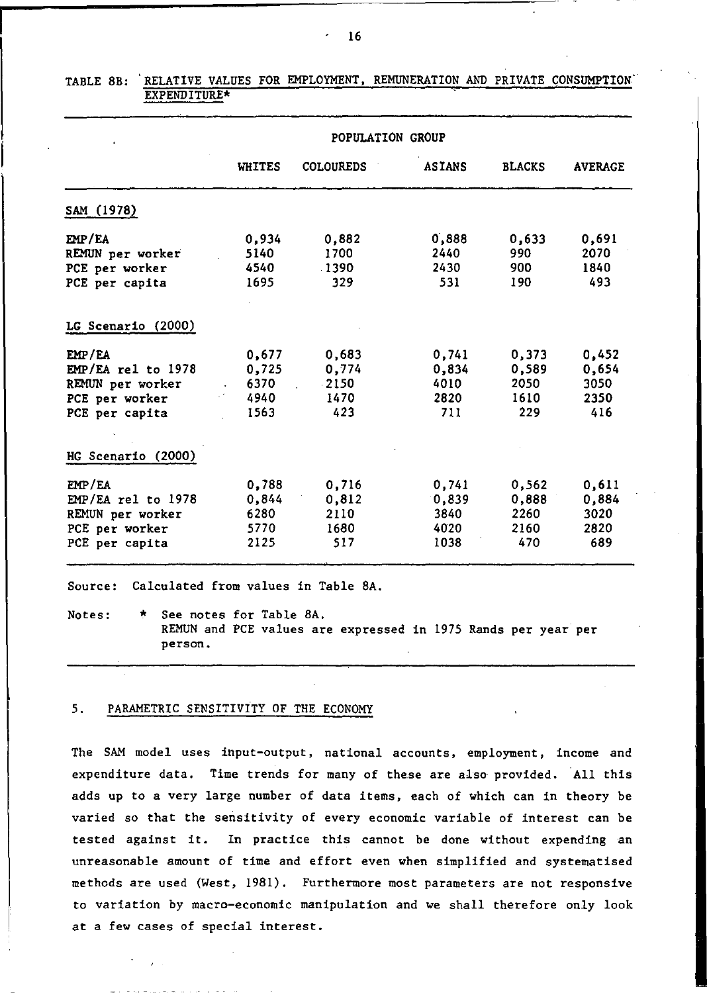|                                                                                        | POPULATION GROUP                       |                                          |                                        |                                       |                                       |  |  |
|----------------------------------------------------------------------------------------|----------------------------------------|------------------------------------------|----------------------------------------|---------------------------------------|---------------------------------------|--|--|
|                                                                                        | <b>WHITES</b>                          | <b>COLOUREDS</b>                         | <b>ASIANS</b>                          | <b>BLACKS</b>                         | <b>AVERAGE</b>                        |  |  |
| SAM (1978)                                                                             |                                        |                                          |                                        |                                       |                                       |  |  |
| EMP/EA<br>REMUN per worker<br>PCE per worker<br>PCE per capita                         | 0.934<br>5140<br>4540<br>1695          | 0.882<br>1700<br>1390<br>329             | 0,888<br>2440<br>2430<br>531           | 0.633<br>990<br>900<br>190            | 0.691<br>2070<br>1840<br>493          |  |  |
| LG Scenario (2000)                                                                     |                                        |                                          |                                        |                                       |                                       |  |  |
| EMP/EA<br>$EMP/EA$ rel to 1978<br>REMUN per worker<br>PCE per worker<br>PCE per capita | 0,677<br>0.725<br>6370<br>4940<br>1563 | 0,683<br>0.774<br>$-2150$<br>1470<br>423 | 0,741<br>0.834<br>4010<br>2820<br>711  | 0,373<br>0.589<br>2050<br>1610<br>229 | 0,452<br>0.654<br>3050<br>2350<br>416 |  |  |
| HG Scenario (2000)                                                                     |                                        |                                          |                                        |                                       |                                       |  |  |
| EMP/EA<br>EMP/EA rel to 1978<br>REMUN per worker<br>PCE per worker<br>PCE per capita   | 0.788<br>0.844<br>6280<br>5770<br>2125 | 0,716<br>0,812<br>2110<br>1680<br>517    | 0.741<br>0,839<br>3840<br>4020<br>1038 | 0.562<br>0,888<br>2260<br>2160<br>470 | 0.611<br>0,884<br>3020<br>2820<br>689 |  |  |

## TABLE 8B: 'RELATIVE VALUES FOR EMPLOYMENT, REMUNERATION AND PRIVATE CONSUMPTION EXPENDITURE\*

Source: Calculated from values in Table 8A.

Notes: \* See notes for Table 8A. REMUN and PCE values are expressed in 1975 Rands per year per person.

### 5. PARAMETRIC SENSITIVITY OF THE ECONOMY

The SAM model uses input-output, national accounts, employment, income and expenditure data. Time trends for many of these are also provided. All this adds up to a very large number of data items, each of which can in theory be varied so that the sensitivity of every economic variable of interest can be tested against it. In practice this cannot be done without expending an unreasonable amount of time and effort even when simplified and systematised methods are used (West, 1981). Furthermore most parameters are not responsive to variation by macro-economic manipulation and we shall therefore only look at a few cases of special interest.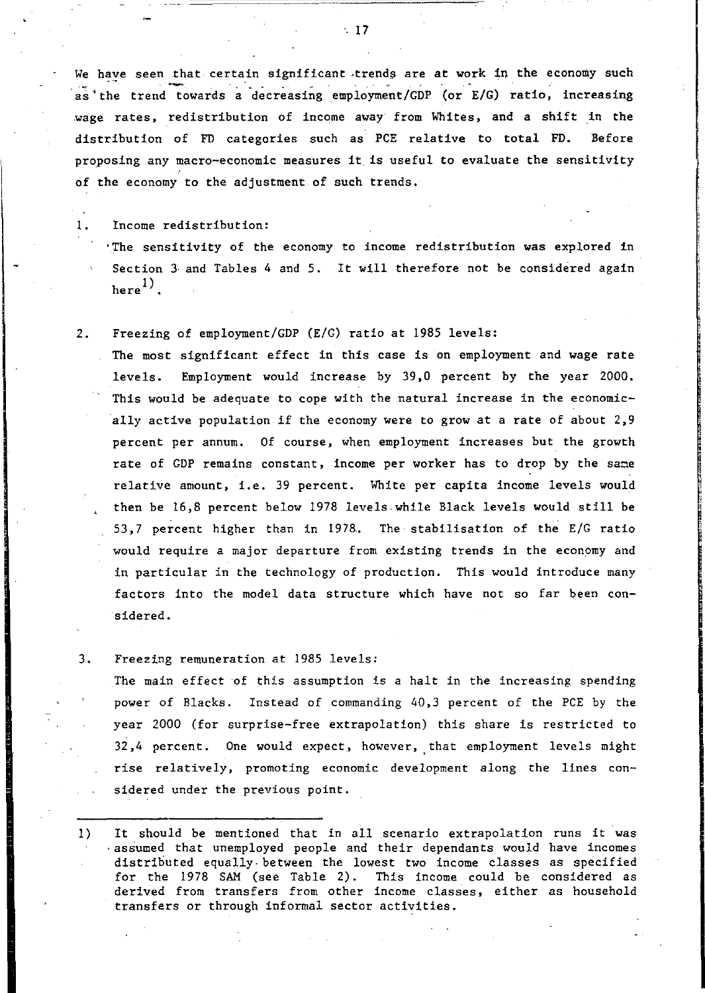We have seen that certain significant trends are at work in the economy such as' the trend towards a decreasing employment/GDP (or *E/G)* ratio, increasing .wage rates, redistribution of income away· from Whites, and a shift in the distribution of FD categories such as PCE relative to total FD. Before proposing any macro-economic measures it. is useful to evaluate the sensitivity of the economy to the adjustment of such trends.

1. Income redistribution:

'The sensitivity of the economy to income redistribution was explored in Section 3 and Tables 4 and 5. It will therefore not be considered again here $^{1)}$ .

2. Freezing of *employment/GDP (E/G)* ratio at 1985 levels:

The most significant effect in this case is on employment and wage rate levels. Employment would increase by 39,0 percent by the year 2000. This would be adequate to cope with the natural increase in the economically active population if the economy were to grow at a rate of about 2,9 percent per annum. Of course, when employment increases but the growth rate of GDP remains constant, income per worker has to drop by the same relative amount, i.e. 39 percent. White per capita income levels would then be 16,8 percent below 1978 levels while Black levels would still be 53,7 percent higher than in 1978.. The stabilisation of the *EIC* ratio would require a major departure from existing trends in the economy and in particular in the technology of production. This would introduce many factors into the model data structure which have not so far been considered.

3. Freezing remuneration at 1985 levels:

The main effect of this assumption is a halt in the increasing spending power of Blacks. Instead of commanding 40,3 percent of the PCE by the year 2000 (for surprise-free extrapolation) this share is restricted to 32,4 percent. One would expect, however, that employment levels might rise relatively, promoting economic development along the lines considered under the previous point.

1) It should be mentioned that in all scenario extrapolation runs it was . assumed that unemployed people and their dependants would have incomes distributed equally- between the lowest two income classes as specified for the 1978 SAM (see Table 2). This income could be considered as derived from transfers from other income classes, either as household transfers or through informal sector activities.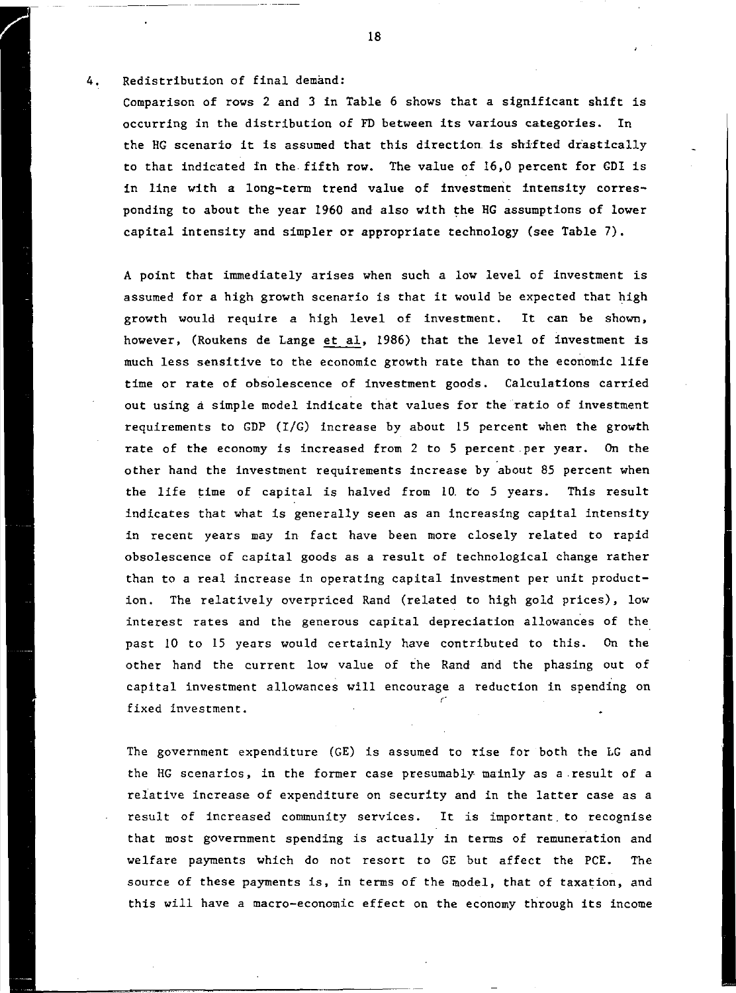4. Redistribution of final demand:

Comparison of rows 2 and 3 in Table 6 shows that a significant shift is occurring in the distribution of FD between its various categories. In the HG scenario it is assumed that this direction is shifted drastically to that indicated in the fifth row. The value of  $16,0$  percent for GDI is in line with a long-term trend value of investment intensity corresponding to about the year 1960 and also with the HG assumptions of lower capital intensity and simpler or appropriate technology (see Table 7).

A point that immediately arises when such a low level of investment is assumed for a high growth scenario is that it would be expected that high growth would require a high level of investment. It can be shown, however, (Roukens de Lange et aI, 1986) that the level of investment is much less sensitive to the economic growth rate than to the economic life time or rate of obsolescence of investment goods. Calculations carried out using a simple model indicate that values for the ratio of investment requirements to GDP *(IiG)* increase by about 15 percent when the growth rate of the economy is increased from 2 to 5 percent per year. On the other hand the investment requirements increase by about 85 percent when the life time of capital is halved from 10. to 5 years. This result indicates that what is generally seen as an increasing capital intensity in recent years may in fact have been more closely related to rapid obsolescence of capital goods as a result of technological change rather than to a real increase in operating capital investment per unit production. The relatively overpriced Rand (related to high gold prices), low interest rates and the generous capital depreciation allowances of the past 10 to 15 years would certainly have contributed to this. On the other hand the current low value of the Rand and the phasing out of capital investment allowances will encourage a reduction in spending on fixed investment.

The government expenditure (GE) is assumed to rise for both the LG and the HG scenarios, in the former case presumably mainly as a .result of a relative increase of expenditure on security and in the latter case as a result of increased community services. It is important. to recognise that most government spending is actually in terms of remuneration and welfare payments which do not resort to GE but affect the PCE. The source of these payments is, in terms of the model, that of taxation, and this will have a macro-economic effect on the economy through its income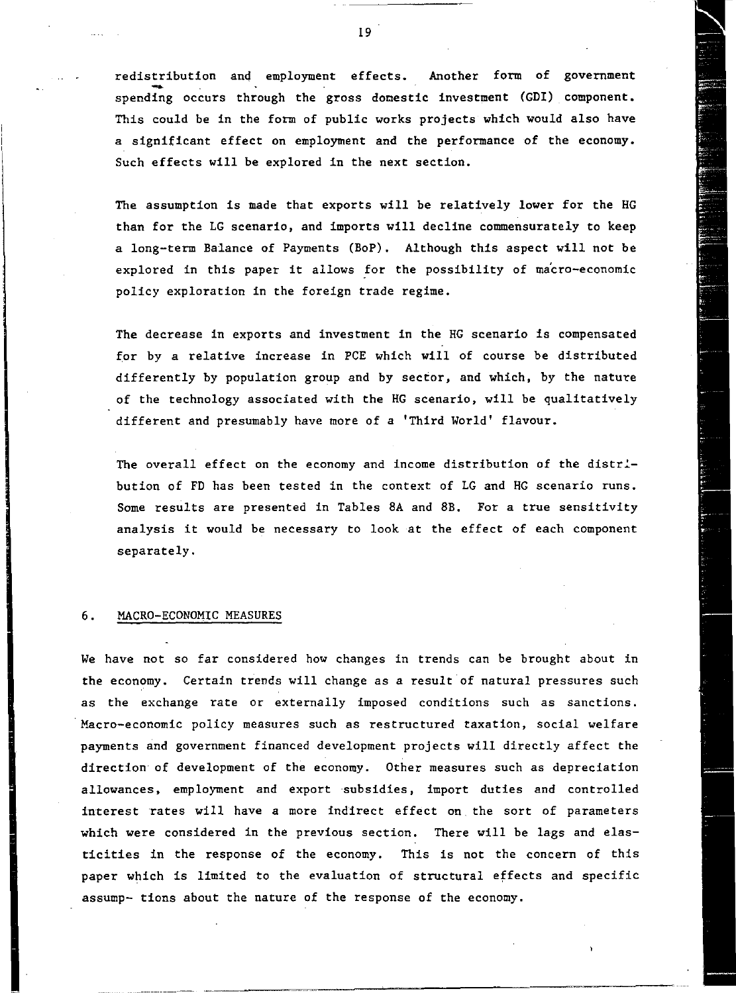redistribution and employment effects. Another form of government spending occurs through the gross domestic investment (GDI) component. This could be in the form of public works projects which would also have a significant effect on employment and the performance of the economy. Such effects will be explored in the next section.

The assumption is made that exports will be relatively lower for the HG than for the LG scenario, and imports will decline commensurately to keep a long-term Balance of Payments (BoP). Although this aspect will not be explored in this paper it allows for the possibility of ma'cro-economic policy exploration in the foreign trade regime.

The decrease in exports and investment in the HG scenario is compensated for by a relative increase in PCE which will of course be distributed differently by population group and by sector, and which, by the nature of the technology associated with the HG scenario, will be qualitatively different and presumably have more of a 'Third World' flavour.

The overall effect on the economy and income distribution of the distribution of FD has been tested in the context of LG and HG scenario runs. Some results are presented in Tables SA and BB. For a true sensitivity analysis it would be necessary to look at the effect of each component separately.

### 6. MACRO-ECONOMIC MEASURES

We have not so far considered how changes in trends can be brought about in the economy. Certain trends will change as a result of natural pressures such as the exchange rate or externally imposed conditions such as sanctions. Macro-economic policy measures such as restructured taxation, social welfare payments and government financed development projects will directly affect the direction of development of the economy. Other measures such as depreciation allowances, employment and export ·subsidies, import duties and controlled interest rates will have a more indirect effect on the sort of parameters which were considered in the previous section. There will be lags and elasticities in the response of the economy. This is not the concern of this paper which is limited to the evaluation of structural effects and specific assump- tions about the nature of the response of the economy.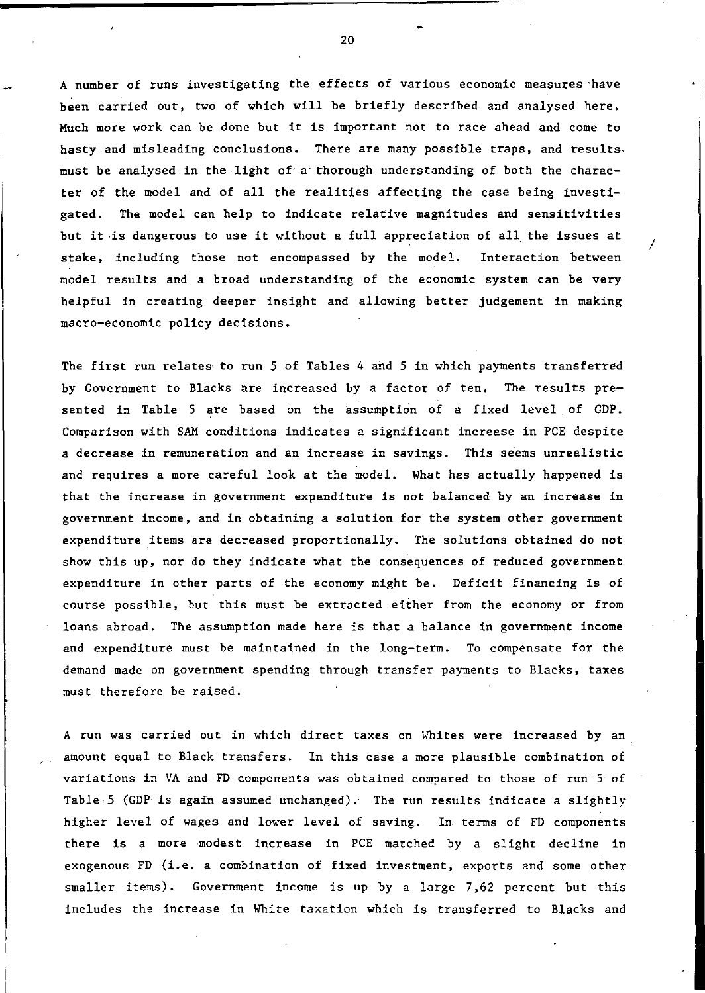A number of runs investigating the effects of various economic measures have been carried out, two of which will be briefly described and analysed here. Much more work can be done but it is important not to race ahead and come to hasty and misleading conclusions. There are many possible traps, and results, must be analysed in the light of' a- thorough understanding of both the character of the model and of all the realities affecting the case being investigated. The model can help to indicate relative magnitudes and sensitivities but it -is dangerous to use it without a full appreciation of all the issues at stake, including those not encompassed by the model. Interaction between model results and a broad understanding of the economic system can be very helpful in creating deeper insight and allowing better judgement in making macro-economic policy decisions.

The first run relates to run 5 of Tables 4 and 5 in which payments transferred by Government to Blacks are increased by a factor of ten. The results presented in Table 5 are based on the assumption of a fixed level of GDP. Comparison with SAM conditions indicates a significant increase in PCE despite a decrease in remuneration and an increase in savings. This seems unrealistic and requires a more careful look at the model. What has actually happened is that the increase in government expenditure is not balanced by an increase in government income, and in obtaining a solution for the system other government expenditure items are decreased proportionally. The solutions obtained do not show this up, nor do they indicate what the consequences of reduced government expenditure in other parts of the economy might be. Deficit financing is of course possible, but this must be extracted either from the economy or from loans abroad. The assumption made here is that a balance in government income and expenditure must be maintained in the long-term. To compensate for the demand made on government spending through transfer payments to Blacks, taxes must therefore be raised.

A run was carried out in which direct taxes on Whites were increased by an amount equal to Black transfers. In this case a more plausible combination of variations in VA and FD components was obtained compared to those of run 5 of Table 5 (GDP is again assumed unchanged).' The run results indicate a slightly higher level of wages and lower level of saving. In terms of FD components there is a more modest increase in PCE matched by a slight decline in exogenous FD (i.e. a combination of fixed investment, exports and some other smaller items). Government income is up by a large 7,62 percent but this includes the increase in White taxation which is transferred to Blacks and

 $20<sub>2</sub>$ 

 $~^+$ 

/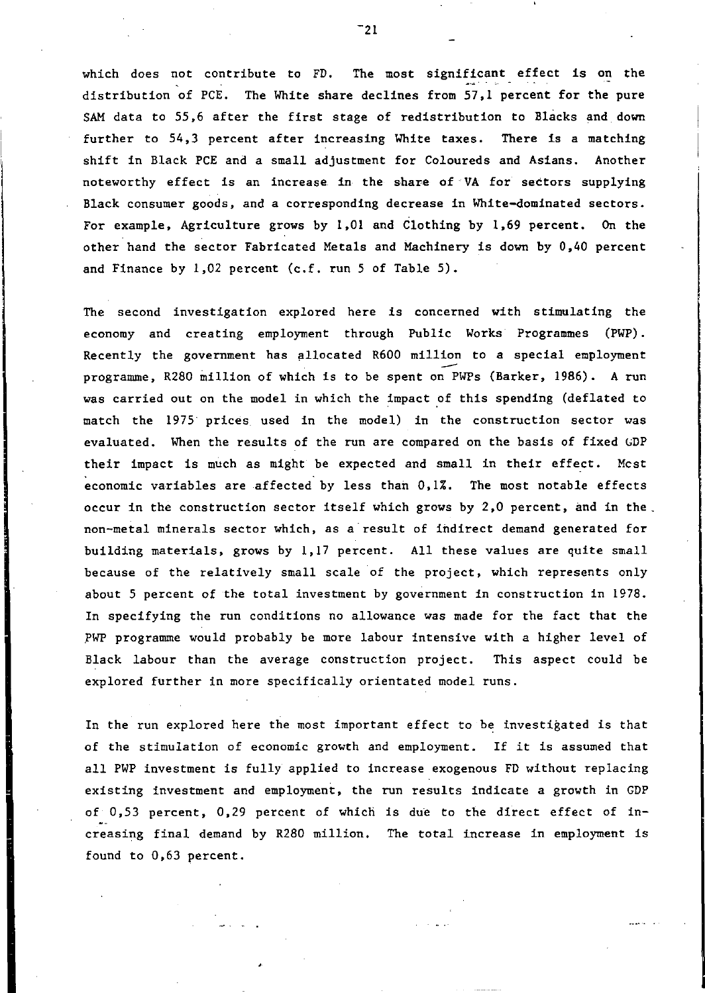which does not contribute to FD. The most significant effect is on the distribution of PCE. The White share declines from 57,1 percent for the pure SAM data to 55,6 after the first stage of redistribution to Blacks and down further to 54,3 percent after increasing White taxes. There is a matching shift in Black PCE and a small adjustment for Coloureds and Asians. Another noteworthy effect is an increase in the share of VA for sectors supplying Black consumer goods, and a corresponding decrease in White-dominated sectors. For example, Agriculture grows by 1,01 and Clothing by 1,69 percent. On the other hand the sector Fabricated Metals and Machinery is down by 0,40 percent and Finance by 1,02 percent (c.f. run 5 of Table 5).

The second investigation explored here is concerned with stimulating the economy and creating employment through Public Works Programmes (PWP). Recently the government has allocated R600 million to a special employment programme, R280 million of which is to be spent on PWPs (Barker, 1986). A run was carried out on the model in which the impact of this spending (deflated to match the 1975 prices used in the model) in the construction sector was evaluated. When the results of the run are compared on the basis of fixed GDP their impact is much as might be expected and small in their effect. Mcst economic variables are affected by less than 0,1%. The most notable effects occur in the construction sector itself which grows by 2,0 percent, and in the. non-metal minerals sector which, as a result of indirect demand generated for building materials, grows by 1,17 percent. All these values are quite small because of the relatively small scale of the project, which represents only about 5 percent of the total investment by government in construction in 1978. In specifying the run conditions no allowance was made for the fact that the PWP programme would probably be more labour intensive with a higher level of Black labour than the average construction project. This aspect could be explored further in more specifically orientated model runs.

In the run explored here the most important effect to be investigated is that of the stimulation of economic growth and employment. If it is assumed that all PWP investment is fully applied to increase exogenous FD without replacing existing investment and employment, the run results indicate a growth in GDP of 0,53 percent, 0,29 percent of which is due to the direct effect of increasing final demand by R280 million. The total increase in employment is found to 0,63 percent.

 $-21$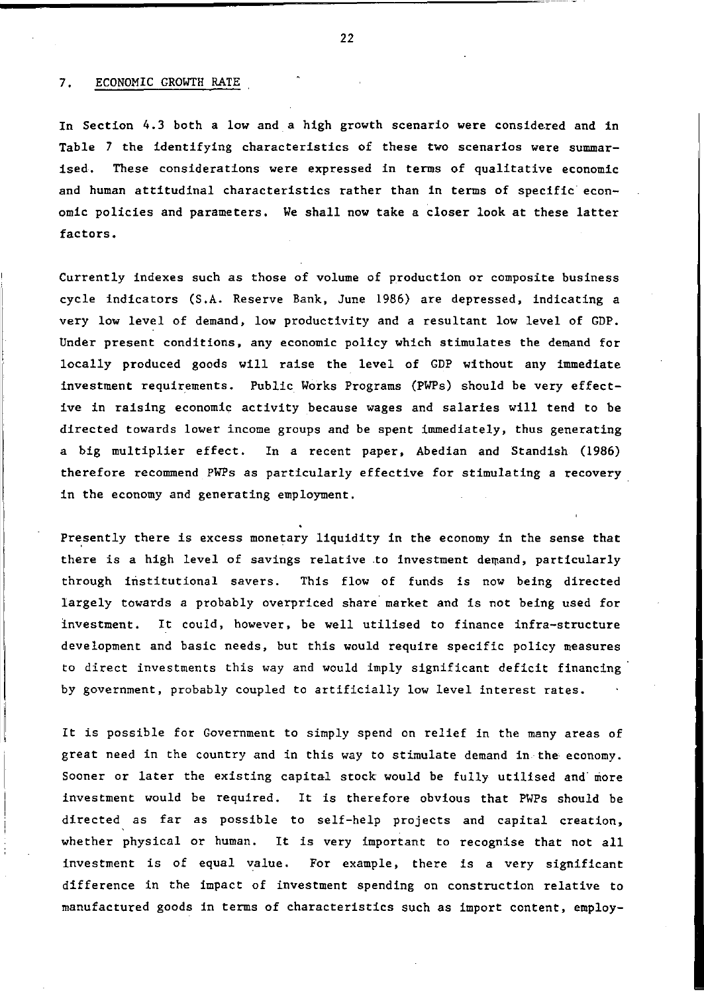### 7. ECONOMIC GROWTH RATE

In Section 4.3 both a low and a high growth scenario were considered and in Table 7 the identifying characteristics of these two scenarios were summarised. These considerations were expressed in terms of qualitative economic and human attitudinal characteristics rather than in terms of specific economic policies and parameters. We shall now take a closer look at these latter factors.

Currently indexes such as those of volume of production or composite business cycle indicators (S.A. Reserve Bank, June 1986) are depressed, indicating a very low level of demand, low productivity and a resultant low level of GDP. Under present conditions, any economic policy which stimulates the demand for locally produced goods will raise the level of GDP without any immediate investment requirements. Public Works Programs (PWPs) should be very effective in raising economic activity because wages and salaries will tend to be directed towards lower income groups and be spent immediately, thus generating a big multiplier effect. In a recent paper, Abedian and Standish (1986) therefore recommend PWPs as particularly effective for stimulating a recovery in the economy and generating employment.

Presently there is excess monetary liquidity in the economy in the sense that there is a high level of savings relative to investment demand, particularly through institutional savers. This flow of funds is now being directed largely towards a probably overpriced share' market and is not being used for investment. It could, however, be well utilised to finance infra-structure development and basic needs, but this would require specific policy measures to direct investments this way and would imply significant deficit financing' by government, probably coupled to artificially low level interest rates.

It is possible for Government to simply spend on relief in the many areas of great need in the country and in this way to stimulate demand in the economy. Sooner or later the existing capital stock would be fully utilised and' more investment would be required. It is therefore obvious that PWPs should be directed as far as possible to self-help projects and capital creation, whether physical or human. It is very important to recognise that not all investment is of equal value. For example, there is a very significant difference in the impact of investment spending on construction relative to manufactured goods in terms of characteristics such as import content, employ-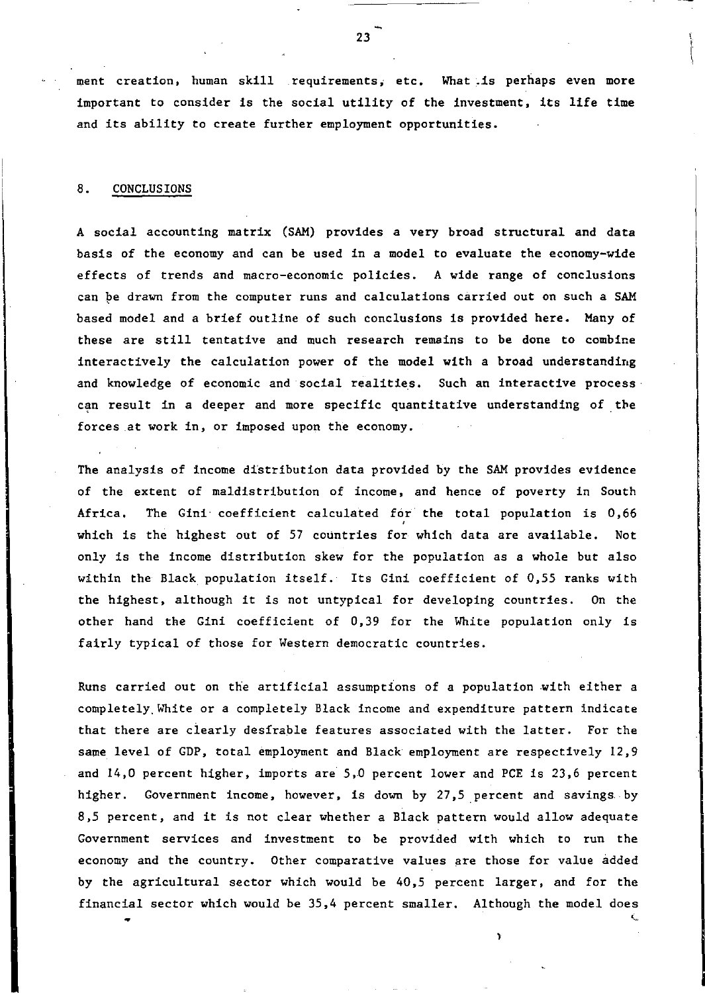ment creation, human skill requirements, etc. What.is perhaps even more important to consider is the social utility of the investment, its life time and its ability to create further employment opportunities.

### 8. CONCLUSIONS

A social accounting matrix (SAM) provides a very broad structural and data basis of the economy and can be used in a model to evaluate the economy-wide effects of trends and macro-economic policies. A wide range of conclusions can pe drawn from the computer runs and calculations carried out on such a SAM based model and a brief outline of such conclusions is provided here. Many of these are still tentative and much research remains to be done to combine interactively the calculation power of the model with a broad understanding and knowledge of economic and social realities. Such an interactive process can result in a deeper and more specific quantitative understanding of the forces at work in, or imposed upon the economy.

The analysis of income distribution data provided by the SAM provides evidence of the extent of maldistribution of income, and hence of poverty in South Africa. The Gini' coefficient calculated for the total population is 0,66 which is the highest out of 57 countries for which data are available. Not only is the income distribution skew for the population as a whole but also within the Black population itself. Its Gini coefficient of 0,55 ranks with the highest, although it is not untypical for developing countries. On the other hand the Gini coefficient of 0,39 for the White population only is fairly typical of those for Western democratic countries.

Runs carried out on the artificial assumptions of a population with either a completely White or a completely Black income and expenditure pattern indicate that there are clearly desirable features associated with the latter. For the same level of GDP, total employment and Black employment are respectively 12,9 and 14,0 percent higher, imports are 5,,0 percent lower and PCE is 23,6 percent higher. Government income, however, is down by 27,5 percent and savings, by 8,5 percent, and it is not clear whether a Black pattern would allow adequate Government services and investment to be provided with which to run the economy and the country. Other comparative values are those for value added by the agricultural sector which would be 40,5 percent larger, and for the financial sector which would be 35,4 percent smaller. Although the model does

'""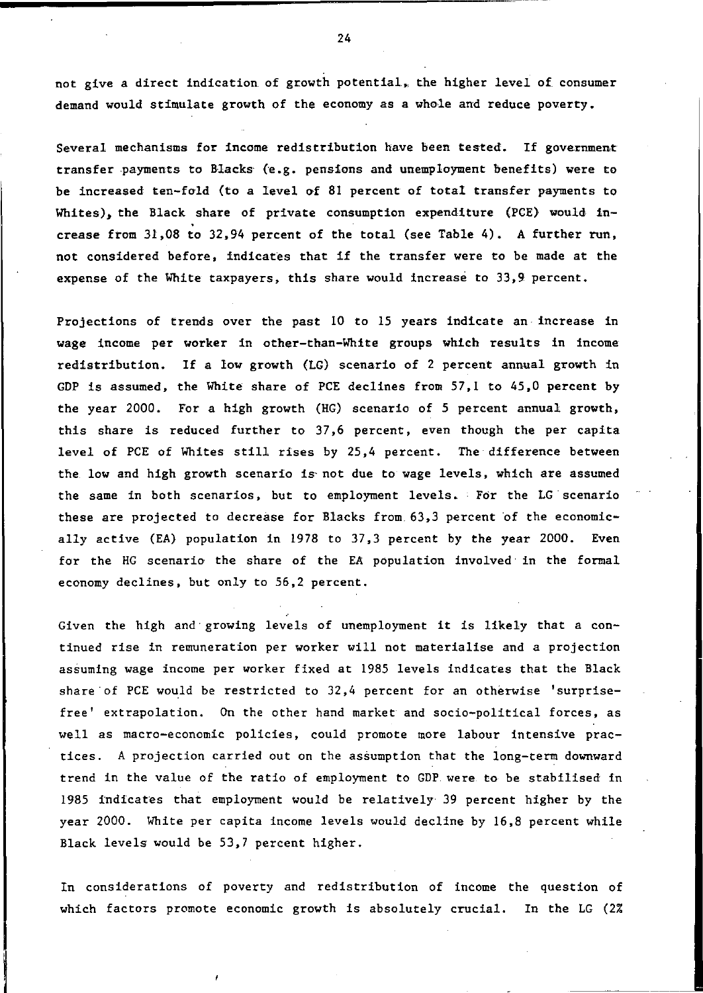not give a direct indication of growth potential, the higher level of consumer demand would stimulate growth of the economy as a whole and reduce poverty.

Several mechanisms for income redistribution have been tested. If government transfer payments to Blacks' (e.g. pensions and unemployment benefits) were to be increased ten-fold (to a level of 81 percent of total transfer payments to Whites), the Black share of private consumption expenditure (PCE) would increase from 31,08 to 32,94 percent of the total (see Table 4). A further run, not considered before, indicates that if the transfer were to be made at the expense of the White taxpayers, this share would increase to 33,9 percent.

Projections of trends over the past 10 to 15 years indicate an, increase in wage' income per worker in other-than-White groups which results in income redistribution. If a low growth (LC) scenario of 2 percent annual growth in GDP is assumed, the White share of PCE declines from 57,1 to 45,0 percent by the year 2000. For a high growth (HG) scenario of 5 percent annual growth, this share is reduced further to 37,6 percent, even though the per capita level of PCE of Whites still rises by 25,4 percent. The difference between the low and high growth scenario is' not due to wage levels, which are assumed the same in both scenarios, but to employment levels. For the LG scenario these are projected to decrease for Blacks from 63,3 percent of the economically active (EA) population in 1978 to 37,3 percent by the year 2000. Even for the HG scenario the share of the EA population involved' in the formal economy declines, but only to 56,2 percent.

Given the high and growing levels of unemployment it is likely that a continued rise in remuneration per worker will not materialise and a projection assuming wage income per worker fixed at 1985 levels indicates that the Black share of PCE would be restricted to 32,4 percent for an otherwise 'surprisefree' extrapolation. On the other hand market and socio-political forces, as well as macro-economic policies, could promote more labour intensive practices. A projection carried out on the assumption that the long-term downward trend in the value of the ratio of employment to GDP were to be stabilised in 1985 indicates that employment would be relatively 39 percent higher by the year 2000. White per capita income levels would decline by 16,8 percent while Black levels would be 53,7 percent higher.

In considerations of poverty and redistribution of income the question of which factors promote economic growth is absolutely crucial. In the LG (2%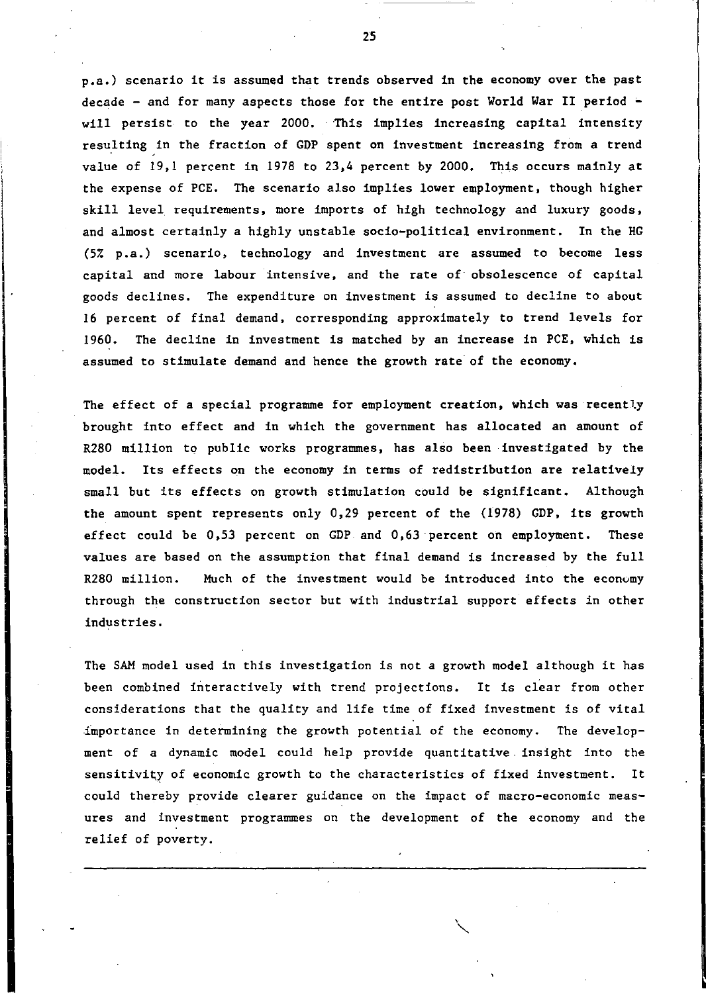p.a.) scenario it is assumed that trends observed in the economy over the past decade - and for many aspects those for the entire post World War II period will persist to the year 2000. This implies increasing capital intensity resulting in the fraction of GDP spent on investment increasing from a trend value of 19,1 percent in 1978 to 23,4 percent by 2000. This occurs mainly at the expense of PCE. The scenario also implies lower employment, though higher skill level requirements, more imports of high technology and luxury goods, and almost certainly a highly unstable socio-political environment. In the HG (5% p. a.) scenario, technology and investment are assumed to become less capital and more labour intensive, and the rate of obsolescence of capital goods declines. The expenditure on investment is assumed to decline to about 16 percent of final demand, corresponding approximately to trend levels for 1960. The decline in investment is matched by an increase in PCE, which is assumed to stimulate demand and hence the growth rate of the economy.

The effect of a special programme for employment creation, which was recently brought into effect and in which the government has allocated an amount of R280 million to public works programmes, has also been investigated by the model. Its effects on the economy in terms of redistribution are relatively small but its effects on growth stimulation could be significant. Although the amount spent represents only 0,29 percent of the (1978) GDP, its growth effect could be 0,53 percent on GDP and 0,63 percent on employment. These values are based on the assumption that final demand is *increased* by the full R280 million. Much of the investment would be introduced into the econumy through the construction sector but with industrial support effects in other industries.

The SAM *model* used in this investigation is not a growth model although it has been combined interactively with trend projections. It is clear from other considerations that the quality and life time of fixed investment is of vital .:importance in determining the growth potential of the *economy.* The development of a dynamic model could help provide quantitative insight into the sensitivity of economic growth to the characteristics of fixed investment. It could thereby provide clearer guidance on the impact of macro-economic measures and investment programmes on the development of the economy and the relief of poverty.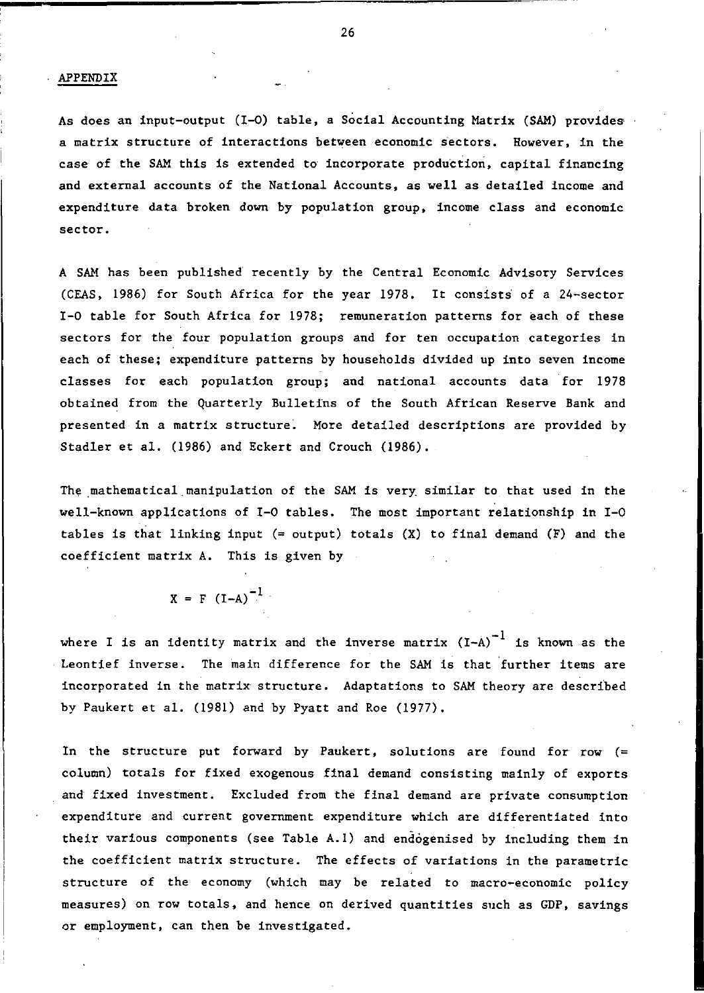### APPENDIX

As does an input-output (1-0) table, a Social Accounting Matrix (SAM) provides, a matrix structure of interactions between economic sectors. However, in the case of the SAM this is extended to incorporate production, capital financing and external accounts of the National Accounts, as well as detailed income and expenditure data broken down by population group, income class and economic sector.

A SAM has been published' recently by the Central Economic Advisory Services (CEAS, 1986) for South Africa for the year 1978. It consists' of a 24-sector 1-0 table for South Africa for 1978; remuneration patterns for each of these sectors for the four population groups and for ten occupation categories in each of these; expenditure patterns by households divided up into seven income classes for each population group; and national accounts data for 1978 obtained from the Quarterly Bulletins of the South African Reserve Bank and presented in a matrix structure. More detailed descriptions are provided by Stadler et al. (1986) and Eckert and Crouch (1986).

The mathematical manipulation of the SAM is very similar to that used in the well-known applications of 1-0 tables. The most important relationship in 1-0 tables is that linking input  $(=$  output) totals  $(X)$  to final demand  $(F)$  and the coefficient matrix A. This is given by

$$
X = F (I-A)^{-1}
$$

where I is an identity matrix and the inverse matrix  $(I-A)^{-1}$  is known as the Leontief inverse. The main difference for the SAM is that 'further items are incorporated in the matrix' structure. Adaptations to SAM theory are described by Paukert et al. (1981) and by Pyatt and Roe (1977).

In the structure put forward by Paukert, solutions are found for row (= column) totals for fixed exogenous final demand consisting mainly of exports and fixed investment. Excluded from the final demand are private consumption expenditure and current government expenditure which are differentiated into their various components (see Table A.l) and endogenised by including them in the coefficient matrix structure. The effects of variations in the parametric structure of the economy (which may be related to macro-economic policy measures) on row totals, and hence on derived quantities such as GDP, savings or employment, can then be investigated.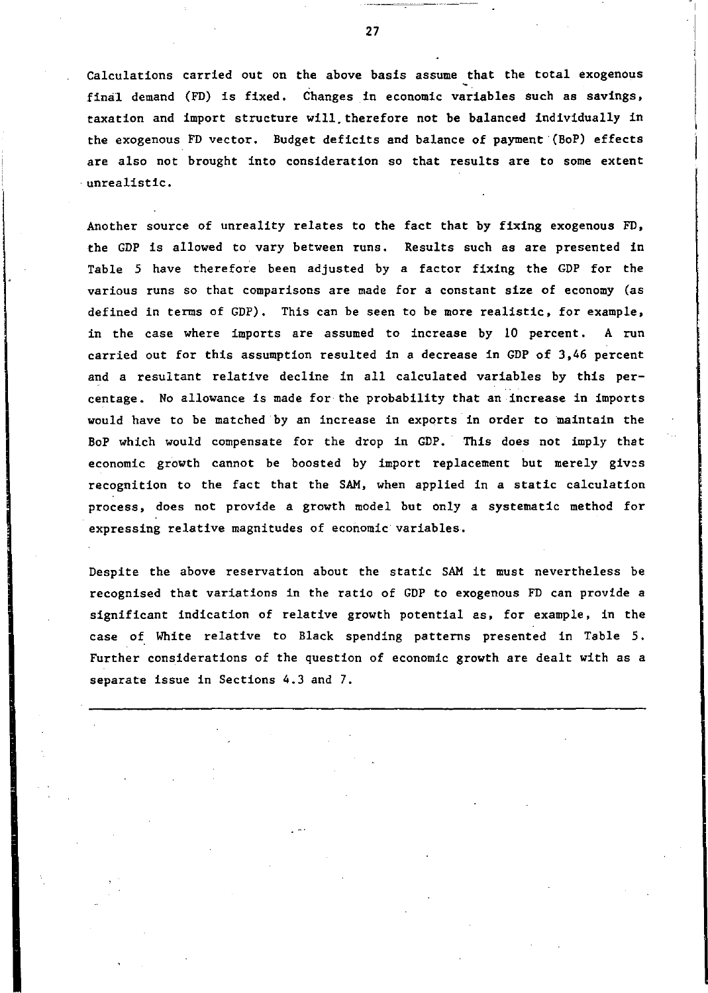Calculations carried out on the above basis assume that the total exogenous final demand (FD) is fixed. Changes in economic variables such as savings, taxation and import structure will. therefore not be balanced individually in the exogenous FD vector. Budget deficits and balance of payment (BoP) effects are also not brought into consideration so that results are to some extent unrealistic.

Another source of unreality relates to the fact that by fixing exogenous FD, the GDP is allowed to vary between runs. Results such as are presented in Table 5 have therefore been adjusted by a factor fixing the GDP for the various runs so that comparisons are made for a constant size of economy (as defined in terms of GDP). This can be seen to be more realistic, for example, in the case where imports are assumed to increase by 10 percent. A run carried out for this assumption resulted in a decrease in GDP of 3,46 percent and a resultant relative decline in *all* calculated variables by this percentage. No allowance is made for the probability that an increase in imports would have to be matched by an increase in exports in order to maintain the BoP which would compensate for the drop in GDP. This does not imply that economic growth cannot be boosted by import replacement but merely gives recognition to the fact that the SAM, when applied in a static calculation process, does not provide a growth model but only a systematic method for expressing relative magnitudes of economic variables.

Despite the above reservation about the static SAM it must nevertheless be recognised that variations in the ratio of GDP to exogenous FD can provide a significant indication of relative growth potential as, for example, in the case of White relative to Black spending patterns presented in Table 5. Further considerations of the question of economic growth are dealt with as a separate issue in Sections 4.3 and 7.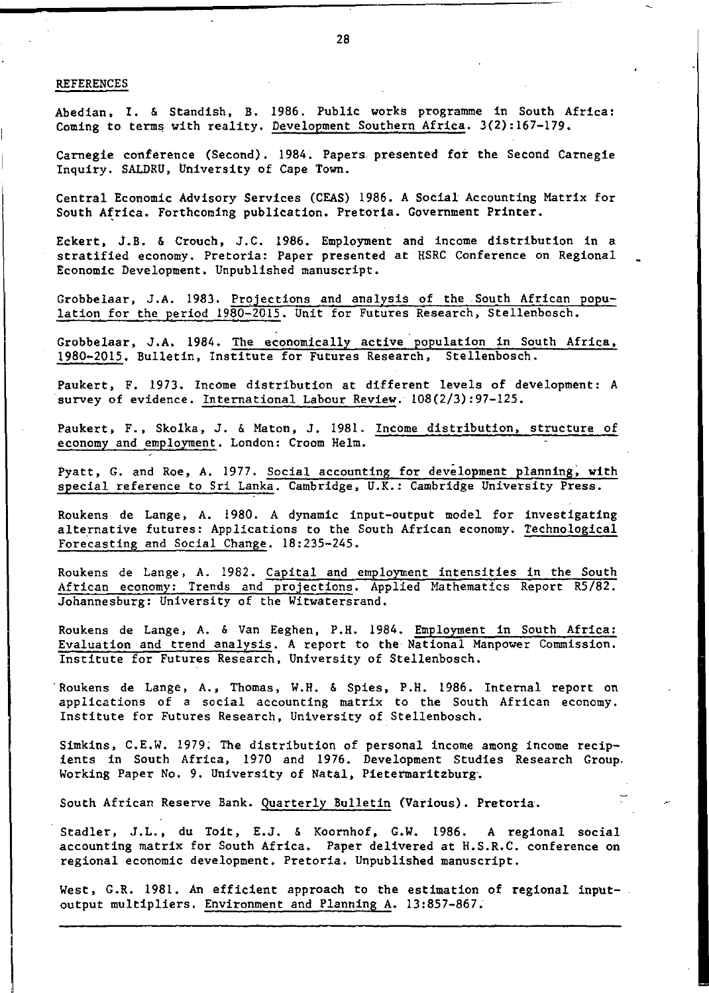#### REFERENCES

Abedian, 1. & Standish, B. 1986. Public works programme in South Africa: Coming to terms with reality. Development Southern Africa. 3(2):167-179.

Carnegie conference (Second). 1984. Papers presented for the Second Carnegie Inquiry. SALDRU, University of Cape Town.

Central Economic Advisory Services (CEAS) 1986. A Social Accounting Matrix for South Africa. Forthcoming publication. Pretoria. Government Printer.

Eckert, J.B. & Crouch, J.C. 1986. Employment and income distribution in a stratified economy. Pretoria: Paper presented at HSRC Conference on Regional Economic Development. Unpublished manuscript.

Grobbelaar, J .A. 1983. Projections and analysis of the South African population for the period 1980-2015. Unit for Futures Research, Stellenbosch.

Grobbelaar, J.A. 1984. The economically active population in South Africa, 1980-2015. Bulletin, Institute for Futures Research, Stellenbosch.

Paukert, F. 1973. Income distribution at different levels of development: A survey of evidence. International Labour Review. 108(2/3):97-125.

Paukert. F., Skolka, J. & Maton. J. 1981. Income distribution, structure of economy and employment. London: Croom Helm.

Pyatt, G. and Roe, A. 1977. Social accounting for development planning; with special reference to Sri Lanka. Cambridge, U.K.: Cambridge University Press.

Roukens de Lange, A. 1980. A dynamic input-output model for investigating alternative futures: Applications to the South African economy. Technological Forecasting and Social Change. 18:235-245.

Roukens de Lange, A. 1982. Capital and employment intensities in the South African economy: Trends and projections. Applied Mathematics Report R5/82. Johannesburg: University of the Witwatersrand.

Roukens de Lange, A. & Van Eeghen, P.H. 1984. Employment in South Africa: Evaluation and trend analysis. A report to the National Manpower Commission. Institute for Futures Research, University of Stellenbosch.

Roukens de Lange, A., Thomas, W.H. & Spies, P.H. 1986. Internal report on applications of a social accounting matrix to the South African economy. Institute for Futures Research, University of Stellenbosch.

Simkins, C.E.W. 1979; The distribution of personal income among income recipients in South Africa, 1970 and 1976. Development Studies Research Group. Working Paper No.9. University of Natal, Pietermaritzburg-.

South African Reserve Bank. Quarterly Bulletin (Various). Pretoria.

Stadler, J.L., du Toit, E.J. & Koornhof, G.W. 1986. A regional social accounting matrix for South Africa. Paper delivered at H.S.R.C. conference on regional economic development. Pretoria. Unpublished manuscript.

West, G.R. 1981. An efficient approach to the estimation of regional input-. output multipliers. Environment and Planning A. 13:857-867.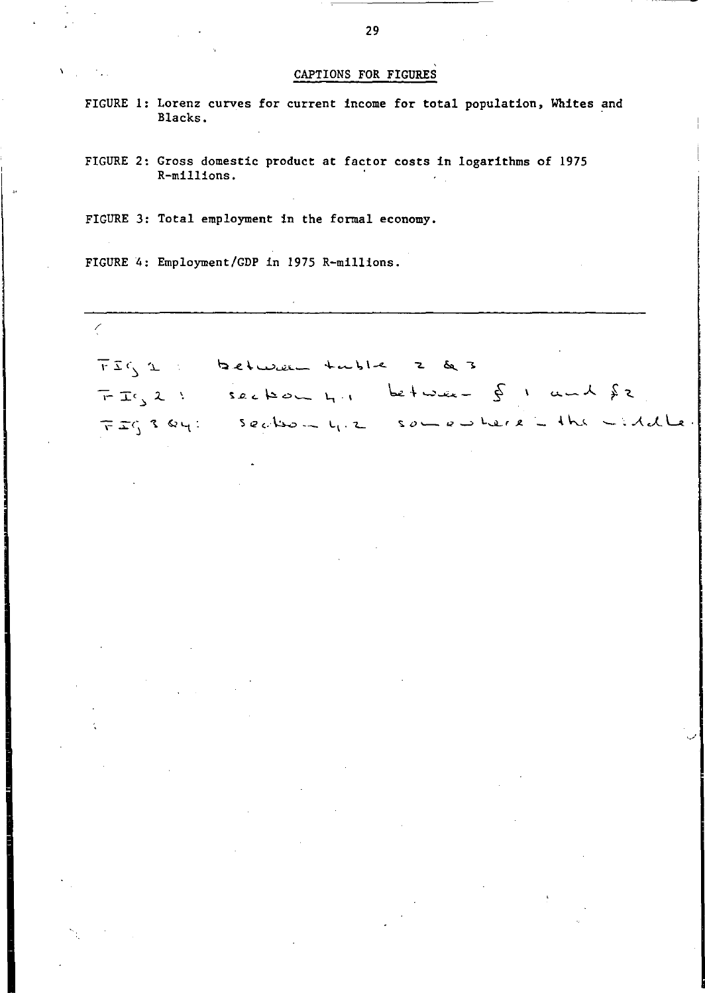## CAPTIONS FOR FIGURES

FIGURE 1: Lorenz curves for current income for total population, Whites and Blacks.

FIGURE 2: Gross domestic product at factor costs in logarithms of 1975 R-millions.

FIGURE 3: Total employment in the formal economy.

FIGURE 4: Employment/GDP in 1975 R-millions.

/

 $\overline{T} \overline{S} \overline{C} \setminus L$  : between tuble 2 & 3  $FT(s)$  seekou  $h(t)$  between  $\oint f(x) dx$ FIG3 Qui section yez somewhere the windle.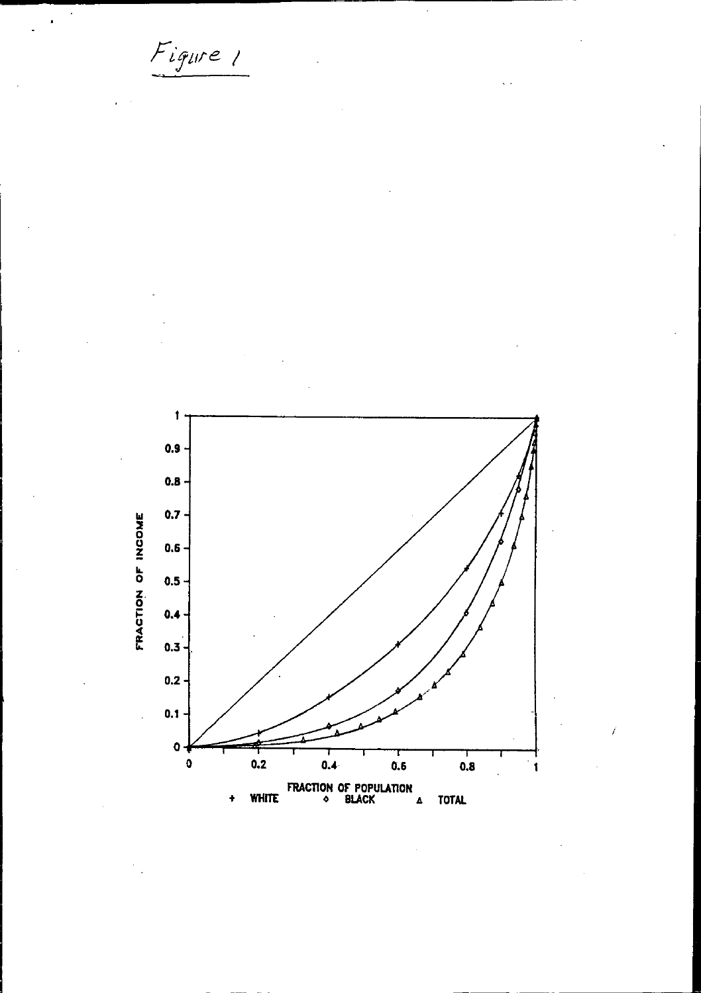Figure 1

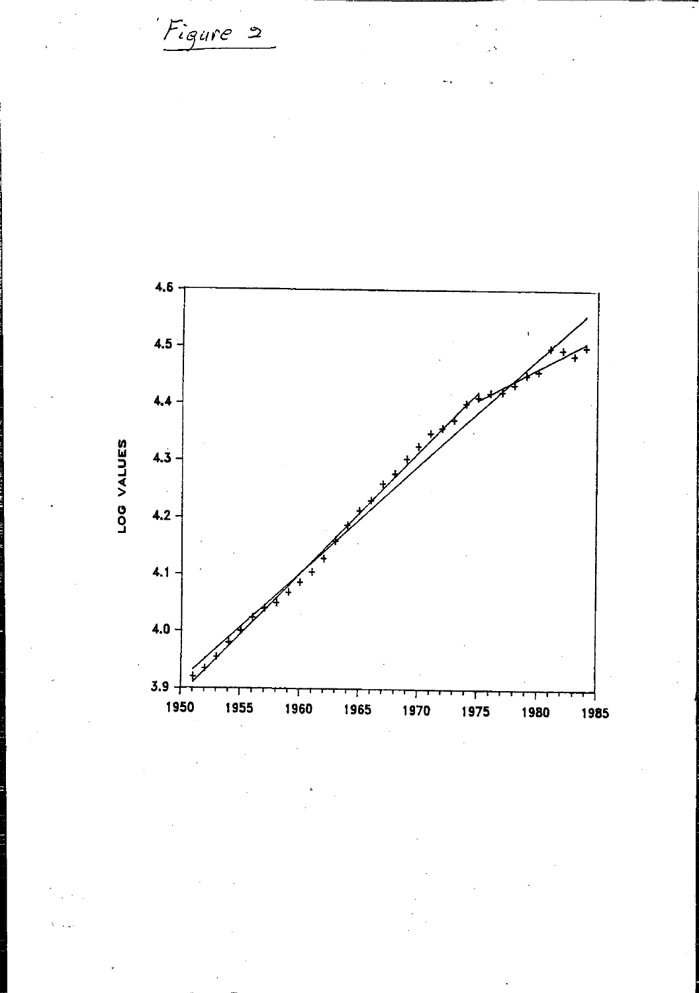Figure 2

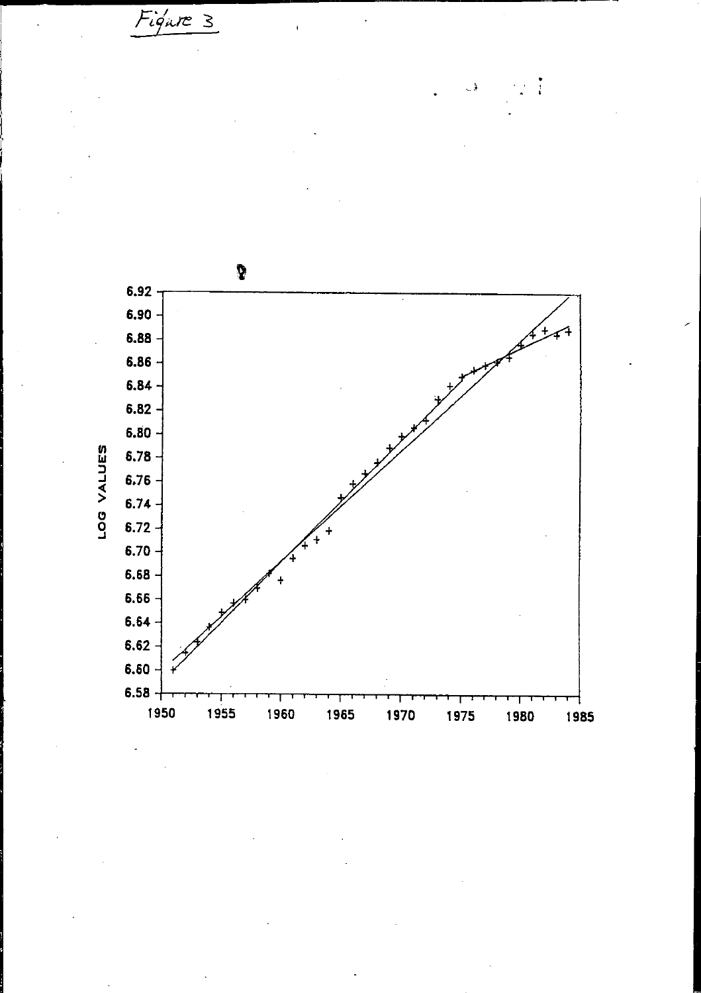Figure 3



 $\ddot{\cdot}$ 

 $\zeta_{\rm c}$  )